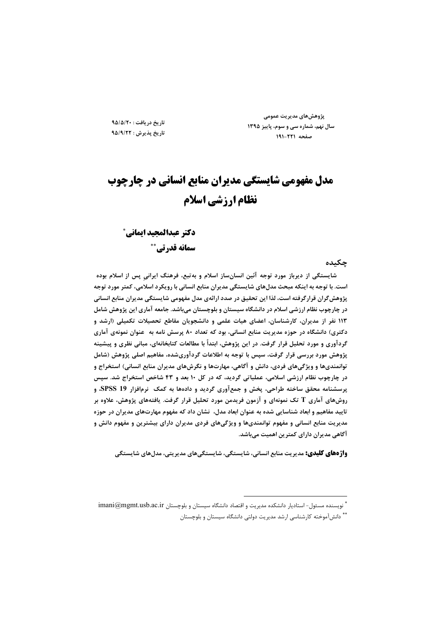پژوهش های مدیریت عمومی سال نهم، شماره سی و سوم، پاییز ۱۳۹۵ صفحه ٢٢١-١٩١

تاريخ دريافت: ٩٥/٥/٢٠ تاريخ پذيرش : ٩٥/٩/٢٢

# مدل مفهومی شایستگی مدیران منابع انسانی در چارچوب نظام ارزشي اسلام

دكتر عبدالمجيد ايماني ً سمانه قدرتي\*\*

#### چکیده

شایستگی از دیرباز مورد توجه آئین انسانساز اسلام و بهتبع، فرهنگ ایرانی پس از اسلام بوده است. با توجه به اینکه مبحث مدلهای شایستگی مدیران منابع انسانی با رویکرد اسلامی، کمتر مورد توجه پژوهشگران قرارگرفته است، لذا این تحقیق در صدد ارائهی مدل مفهومی شایستگی مدیران منابع انسانی در چارچوب نظام ارزشی اسلام در دانشگاه سیستان و بلوچستان میباشد. جامعه آماری این پژوهش شامل ۱۱۳ نفر از مدیران، کارشناسان، اعضای هیات علمی و دانشجویان مقاطع تحصیلات تکمیلی (ارشد و دکتری) دانشگاه در حوزه مدیریت منابع انسانی، بود که تعداد ۸۰ پرسش نامه به عنوان نمونهی آماری گردآوری و مورد تحلیل قرار گرفت. در این پژوهش، ابتدأ با مطالعات کتابخانهای، مبانی نظری و پیشینه پژوهش مورد بررسی قرار گرفت، سپس با توجه به اطلاعات گردآوریشده، مفاهیم اصلی پژوهش (شامل توانمندیها و ویژگیهای فردی، دانش و آگاهی، مهارتها و نگرشهای مدیران منابع انسانی) استخراج و در چارچوب نظام ارزشی اسلامی، عملیاتی گردید، که در کل ۱۰ بعد و ۴۳ شاخص استخراج شد. سپس پرسشنامه محقق ساخته طراحی، پخش و جمعآوری گردید و دادهها به کمک ً نرمافزار SPSS 19، و روشهای آماری T تک نمونهای و آزمون فریدمن مورد تحلیل قرار گرفت. یافتههای پژوهش، علاوه بر تایید مفاهیم و ابعاد شناسایی شده به عنوان ابعاد مدل، نشان داد که مفهوم مهارتهای مدیران در حوزه مدیریت منابع انسانی و مفهوم توانمندیها و ویژگیهای فردی مدیران دارای بیشترین و مفهوم دانش و آگاهی مدیران دارای کمترین اهمیت میباشد.

**واژ دهای کلیدی:** مدیریت منابع انسانی، شایستگی، شایستگی های مدیریتی، مدل های شایستگی

أ نويسنده مسئول- استاديار دانشكده مديريت و اقتصاد دانشگاه سيستان و بلوچستان imani@mgmt.usb.ac.ir ...<br>\* دانش آموخته کارشناسی ارشد مدیریت دولتی دانشگاه سیستان و بلوچستان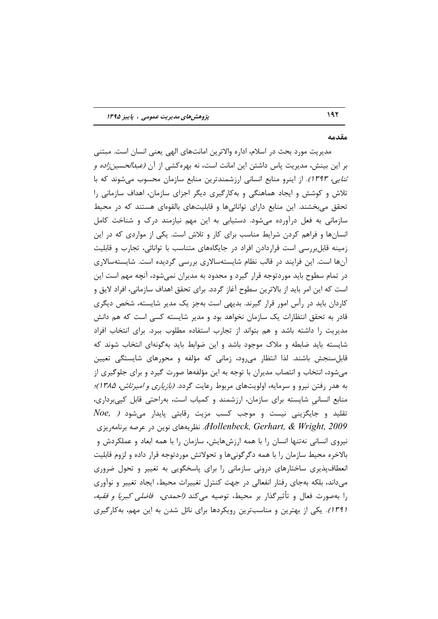#### مقدمه

مديريت مورد بحث در اسلام، اداره والاترين امانتهاي الهي يعني انسان است. مبتني بر این بینش، مدیریت پاس داشتن این امانت است، نه بهره کشی از آن *(عبدالحسین;اده و* ت*نایی، ۱۳۹۳).* از اینرو منابع انسانی ارزشمندترین منابع سازمان محسوب میشوند که با تلاش و کوشش و ایجاد هماهنگی و بهکارگیری دیگر اجزای سازمان، اهداف سازمانی را تحقق می بخشند. این منابع دارای توانائی ها و قابلیتهای بالقوهای هستند که در محیط سازمانی به فعل درآورده میشود. دستیابی به این مهم نیازمند درک و شناخت کامل انسانها و فراهم کردن شرایط مناسب برای کار و تلاش است. یکی از مواردی که در این زمینه قابل بررسی است قراردادن افراد در جایگاههای متناسب با توانائی، تجارب و قابلیت آنها است. این فرایند در قالب نظام شایستهسالاری بررسی گردیده است. شایستهسالاری در تمام سطوح باید موردتوجه قرار گیرد و محدود به مدیران نمیشود، آنچه مهم است این است که این امر باید از بالاترین سطوح آغاز گردد. برای تحقق اهداف سازمانی، افراد لایق و کاردان باید در رأس امور قرار گیرند. بدیهی است بهجز یک مدیر شایسته، شخص دیگری قادر به تحقق انتظارات یک سازمان نخواهد بود و مدیر شایسته کسی است که هم دانش مدیریت را داشته باشد و هم بتواند از تجارب استفاده مطلوب ببرد. برای انتخاب افراد شایسته باید ضابطه و ملاک موجود باشد و این ضوابط باید بهگونهای انتخاب شوند که قابلسنجش باشند. لذا انتظار می رود، زمانی که مؤلفه و محورهای شایستگی تعیین میشود، انتخاب و انتصاب مدیران با توجه به این مؤلفهها صورت گیرد و برای جلوگیری از به هدر رفتن نیرو و سرمایه، اولویتهای مربوط رعایت گردد. *(بازیاری و امیرتاش، ۱۳۸۵)؛* منابع انسانی شایسته برای سازمان، ارزشمند و کمیاب است، بهراحتی قابل کپیبرداری،  $\emph{Noe},$  تقلید و جایگزینی نیست و موجب کسب مزیت رقابتی پایدار میشود ( نظریههای نوین در عرصه برنامهریزی.*Hollenbeck, Gerhart, & Wright, 2009* نیروی انسانی نهتنها انسان را با همه ارزشهایش، سازمان را با همه ابعاد و عملکردش و بالاخره محیط سازمان را با همه دگرگونیها و تحولاتش موردتوجه قرار داده و لزوم قابلیت انعطافپذیری ساختارهای درونی سازمانی را برای پاسخگویی به تغییر و تحول ضروری میداند، بلکه بهجای رفتار انفعالی در جهت کنترل تغییرات محیط، ایجاد تغییر و نوآوری را بهصورت فعال و تأثیرگذار بر محیط، توصیه می *کند (احمدی، فاضلی کبریا و فقیه،* (۱۳۹۱). یکی از بهترین و مناسبترین رویکردها برای نائل شدن به این مهم، بهکارگیری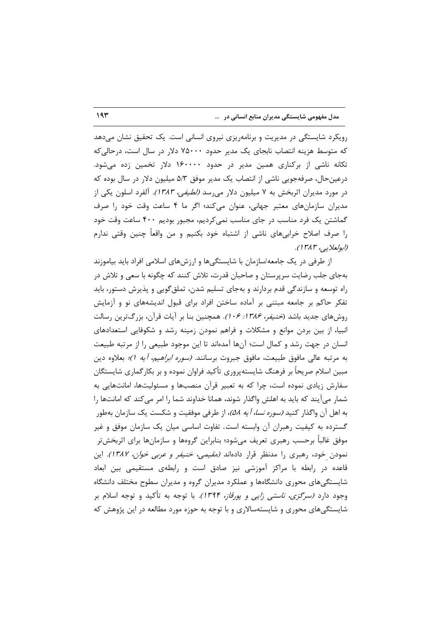رویکرد شایستگی در مدیریت و برنامهریزی نیروی انسانی است. یک تحقیق نشان میدهد که متوسط هزینه انتصاب نابجای یک مدیر حدود ۷۵۰۰۰ دلار در سال است، درحالی که تکانه ناشی از برکناری همین مدیر در حدود ۱۶۰۰۰۰ دلار تخمین زده می شود. درعینحال، صرفهجویی ناشی از انتصاب یک مدیر موفق ۵/۳ میلیون دلار در سال بوده که در مورد مدیران اثربخش به ۷ میلیون دلار میرسد *(لطیفی، ۱۳۸۳).* آلفرد اسلون یکی از مدیران سازمانهای معتبر جهانی، عنوان میکند؛ اگر ما ۴ ساعت وقت خود را صرف گماشتن یک فرد مناسب در جای مناسب نمیکردیم، مجبور بودیم ۴۰۰ ساعت وقت خود را صرف اصلاح خرابیهای ناشی از اشتباه خود بکنیم و من واقعاً چنین وقتی ندارم (ابولعلابے ، ۱۳۸۳).

از طرفی در یک جامعه/سازمان با شایستگیها و ارزشهای اسلامی افراد باید بیاموزند بهجای جلب رضایت سرپرستان و صاحبان قدرت، تلاش کنند که چگونه با سعی و تلاش در راه توسعه و سازندگی قدم بردارند و بهجای تسلیم شدن، تملق گویی و پذیرش دستور، باید تفکر حاکم بر جامعه مبتنی بر آماده ساختن افراد برای قبول اندیشههای نو و آزمایش روشهای جدید باشد (*خنیفر، ۱۳۸۶: ۰۶).* همچنین بنا بر آیات قرآن، بزرگترین رسالت انبیا، از بین بردن موانع و مشکلات و فراهم نمودن زمینه رشد و شکوفایی استعدادهای انسان در جهت رشد و کمال است؛ آنها آمدهاند تا این موجود طبیعی را از مرتبه طبیعت به مرتبه عالی مافوق طبیعت، مافوق جبروت برسانند. *(سوره ابراهیم، آیه ۱)؛* بعلاوه دین مبین اسلام صریحاً بر فرهنگ شایستهپروری تأکید فراوان نموده و بر بکارگماری شایستگان سفارش زیادی نموده است، چرا که به تعبیر قرآن منصبها و مسئولیتها، امانتهایی به شمار می آیند که باید به اهلش واگذار شوند، همانا خداوند شما را امر می کند که امانتها را به اهل آن واگذار کنید *(سوره نسا، آیه ۵۸)،* از طرفی موفقیت و شکست یک سازمان بهطور گسترده به کیفیت رهبران آن وابسته است. تفاوت اساسی میان یک سازمان موفق و غیر موفق غالباً برحسب رهبري تعريف مىشود؛ بنابراين گروهها و سازمانها براي اثربخشتر نمودن خود، رهبری را مدنظر قرار دادهاند *(مقیمی، خنیفر و عربی خوان، ۱۳۸۷).* این قاعده در رابطه با مراکز آموزشی نیز صادق است و رابطهی مستقیمی بین ابعاد شایستگیهای محوری دانشگاهها و عملکرد مدیران گروه و مدیران سطوح مختلف دانشگاه وجود دارد *(سرگزی، ناستی زایی و یورقاز، ۱۳۹۴).* با توجه به تأکید و توجه اسلام بر شایستگیهای محوری و شایستهسالاری و با توجه به حوزه مورد مطالعه در این پژوهش که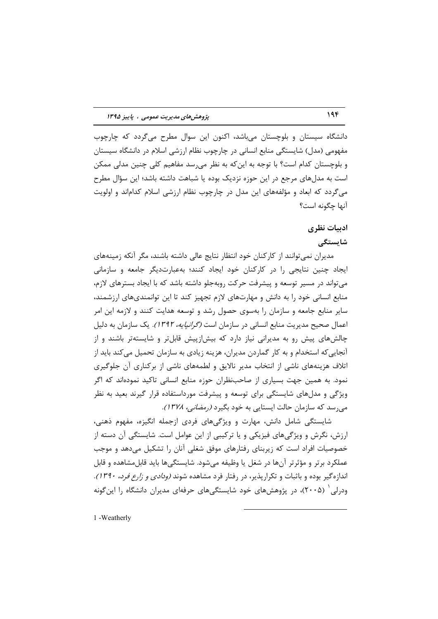دانشگاه سیستان و بلوچستان می باشد، اکنون این سوال مطرح می گردد که چارچوب مفهومی (مدل) شایستگی منابع انسانی در چارچوب نظام ارزشی اسلام در دانشگاه سیستان و بلوچستان کدام است؟ با توجه به این *ک*ه به نظر می٫رسد مفاهیم کلی چنین مدلی ممکن است به مدلهای مرجع در این حوزه نزدیک بوده یا شباهت داشته باشد؛ این سؤال مطرح میگردد که ابعاد و مؤلفههای این مدل در چارچوب نظام ارزشی اسلام کداماند و اولویت آنها حكونه است؟

#### ادبیات نظری

#### شایستگے

مدیران نمی توانند از کارکنان خود انتظار نتایج عالی داشته باشند، مگر آنکه زمینههای ایجاد چنین نتایجی را در کارکنان خود ایجاد کنند؛ بهعبارتدیگر جامعه و سازمانی می تواند در مسیر توسعه و پیشرفت حرکت روبهجلو داشته باشد که با ایجاد بسترهای لازم، منابع انسانی خود را به دانش و مهارتهای لازم تجهیز کند تا این توانمندیهای ارزشمند، سایر منابع جامعه و سازمان را بهسوی حصول رشد و توسعه هدایت کنند و لازمه این امر اعمال صحیح مدیریت منابع انسانی در سازمان است *(گرانپایه، ۱۳۹۲).* یک سازمان به دلیل چالشهای پیش رو به مدیرانی نیاز دارد که بیشازپیش قابلتر و شایستهتر باشند و از آنجایی که استخدام و به کار گماردن مدیران، هزینه زیادی به سازمان تحمیل می کند باید از اتلاف هزینههای ناشی از انتخاب مدیر نالایق و لطمههای ناشی از برکناری آن جلوگیری نمود. به همین جهت بسیاری از صاحبنظران حوزه منابع انسانی تاکید نمودهاند که اگر ویژگی و مدلهای شایستگی برای توسعه و پیشرفت مورداستفاده قرار گیرند بعید به نظر می رسد که سازمان حالت ایستایی به خود بگیرد *(رمضانی، ۱۳۷۸).* 

شایستگی شامل دانش، مهارت و ویژگیهای فردی ازجمله انگیزه، مفهوم ذهنی، ارزش، نگرش و ویژگیهای فیزیکی و یا ترکیبی از این عوامل است. شایستگی آن دسته از خصوصیات افراد است که زیربنای رفتارهای موفق شغلی آنان را تشکیل میدهد و موجب عملکرد برتر و مؤثرتر آنها در شغل یا وظیفه می شود. شایستگی ها باید قابل مشاهده و قابل اندازه گیر بوده و باثبات و تکرارپذیر، در رفتار فرد مشاهده شوند *(ودادی و زارع فرد، ۱۳۹۰).* ودرلی (۲۰۰۵)، در پژوهشهای خود شایستگیهای حرفهای مدیران دانشگاه را این گونه

1 - Weatherly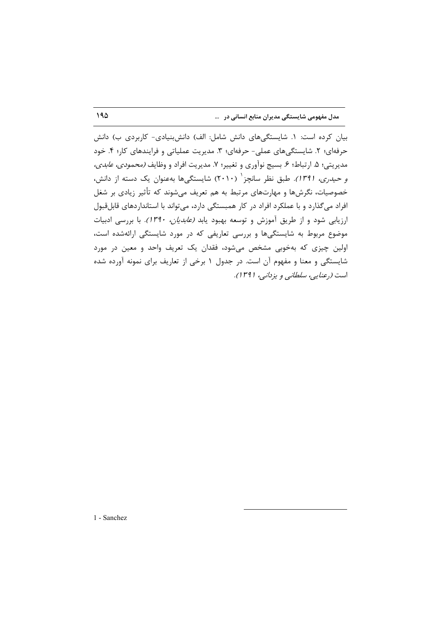بیان کرده است: ١. شایستگیهای دانش شامل: الف) دانشبنیادی- کاربردی ب) دانش حرفهای؛ ۲. شایستگیهای عملی- حرفهای؛ ۳. مدیریت عملیاتی و فرایندهای کار؛ ۴. خود مديريتي؛ ۵. ارتباط؛ ۶. بسيج نوآوري و تغيير؛ ۷. مديريت افراد و وظايف *(محمودي، عابدي،* و حیدری، 1۳۹۱). طبق نظر سانچز<sup>۱</sup> (۲۰۱۰) شایستگیها بهعنوان یک دسته از دانش، خصوصیات، نگرشها و مهارتهای مرتبط به هم تعریف میشوند که تأثیر زیادی بر شغل افراد میگذارد و با عملکرد افراد در کار همبستگی دارد، می تواند با استانداردهای قابلقبول ارزیابی شود و از طریق آموزش و توسعه بهبود یابد *(عابدیان، ۱۳۹۰).* با بررسی ادبیات موضوع مربوط به شایستگیها و بررسی تعاریفی که در مورد شایستگی ارائهشده است، اولین چیزی که بهخوبی مشخص میشود، فقدان یک تعریف واحد و معین در مورد شایستگی و معنا و مفهوم آن است. در جدول ۱ برخی از تعاریف برای نمونه آورده شده است (رعنایی، سلطانی و یزدانی، ۱۳۹۱).

1 - Sanchez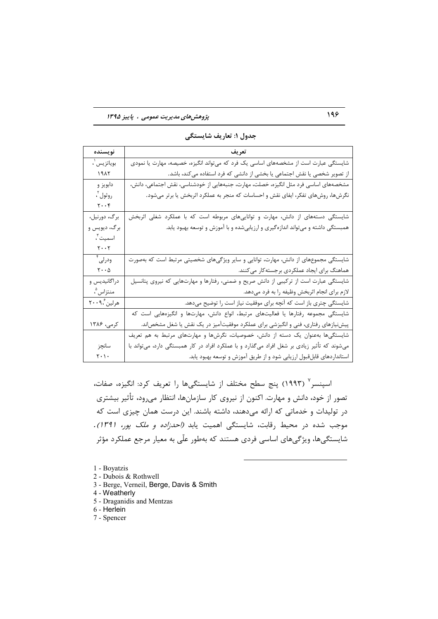#### پژوهشهای مدیریت عمومی ، پاییز ۱۳۹۵

| نويسنده                             | تعريف                                                                                        |
|-------------------------------------|----------------------------------------------------------------------------------------------|
| بوياتزيس ل                          | شایستگی عبارت است از مشخصههای اساسی یک فرد که میتواند انگیزه، خصیصه، مهارت یا نمودی          |
| 1917                                | از تصویر شخصی یا نقش اجتماعی یا بخشی از دانشی که فرد استفاده میکند، باشد.                    |
| دابويز و                            | مشخصههای اساسی فرد مثل انگیزه، خصلت، مهارت، جنبههایی از خودشناسی، نقش اجتماعی، دانش،         |
| روثول آ،                            | نگرشها، روشهای تفکر، ایفای نقش و احساسات که منجر به عملکرد اثربخش یا برتر میشود.             |
| $\mathbf{Y} \cdot \cdot \mathbf{Y}$ |                                                                                              |
| برگ، دورنيل،                        | شایستگی دستههای از دانش، مهارت و تواناییهای مربوطه است که با عملکرد شغلی اثربخش              |
| برگ، ديويس و                        | همبستگی داشته و میتواند اندازهگیری و ارزیابیشده و با آموزش و توسعه بهبود یابد.               |
| اسميت "،                            |                                                                                              |
| $\mathbf{y} \cdot \mathbf{y}$       |                                                                                              |
| ودرلی ٔ                             | شایستگی مجموعهای از دانش، مهارت، توانایی و سایر ویژگیهای شخصیتی مرتبط است که بهصورت          |
| $\mathbf{Y}\cdot\cdot\mathbf{A}$    | هماهنگ برای ایجاد عملکردی برجسته کار می کنند.                                                |
| دراگانیدیس و                        | شایستگی عبارت است از ترکیبی از دانش صریح و ضمنی، رفتارها و مهارتهایی که نیروی پتانسیل        |
| منتزاس "،                           | لازم براي انجام اثربخش وظيفه را به فرد مىدهد.                                                |
| هرلين '،٢٠٠٩                        | شایستگی چتری باز است که آنچه برای موفقیت نیاز است را توضیح میدهد.                            |
|                                     | شایستگی مجموعه رفتارها یا فعالیتهای مرتبط، انواع دانش، مهارتها و انگیزههایی است که           |
| کرمی، ۱۳۸۶                          | پیش نیازهای رفتاری، فنی و انگیزشی برای عملکرد موفقیتآمیز در یک نقش یا شغل مشخصاند.           |
|                                     | شایستگیها بهعنوان یک دسته از دانش، خصوصیات، نگرشها و مهارتهای مرتبط به هم تعریف              |
| سانچز                               | میشوند که تأثیر زیادی بر شغل افراد میگذارد و با عملکرد افراد در کار همبستگی دارد، میتواند با |
| $\mathbf{r} \cdot \mathbf{r}$       | استانداردهای قابلقبول ارزیابی شود و از طریق آموزش و توسعه بهبود یابد.                        |

جدول ۱: تعاريف شايستگى

اسينسر<sup>٧</sup> (١٩٩٣) ينج سطح مختلف از شايستگيها را تعريف كرد: انگيزه، صفات، تصور از خود، دانش و مهارت. اکنون از نیروی کار سازمانها، انتظار میرود، تأثیر بیشتری در تولیدات و خدماتی که ارائه میدهند، داشته باشند. این درست همان چیزی است که موجب شده در محیط رقابت، شایستگی اهمیت یابد (احدزاده و ملک پور، ۱۳۹۱). شایستگیها، ویژگیهای اساسی فردی هستند که بهطور علّی به معیار مرجع عملکرد مؤثر

- 1 Boyatzis
- 2 Dubois & Rothwell
- 3 Berge, Verneil, Berge, Davis & Smith
- 4 Weatherly
- 5 Draganidis and Mentzas
- 6 Herlein
- 7 Spencer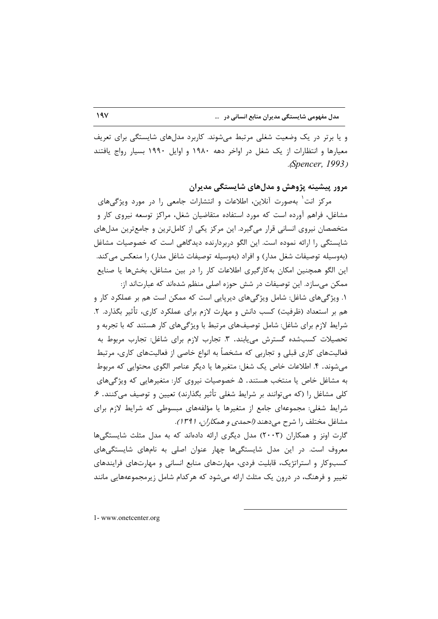و یا برتر در یک وضعیت شغلی مرتبط میشوند. کاربرد مدلهای شایستگی برای تعریف معیارها و انتظارات از یک شغل در اواخر دهه ۱۹۸۰ و اوایل ۱۹۹۰ بسیار رواج یافتند .*Spencer*, 1993)

مرور پیشینه پژوهش و مدلهای شایستگی مدیران

مرکز انت<sup>۱</sup> بهصورت آنلاین، اطلاعات و انتشارات جامعی را در مورد ویژگیهای مشاغل، فراهم آورده است که مورد استفاده متقاضیان شغل، مراکز توسعه نیروی کار و متخصصان نیروی انسانی قرار میگیرد. این مرکز یکی از کاملترین و جامعترین مدلهای شایستگی را ارائه نموده است. این الگو دربردارنده دیدگاهی است که خصوصیات مشاغل (بهوسیله توصیفات شغل مدار) و افراد (بهوسیله توصیفات شاغل مدار) را منعکس میکند. این الگو همچنین امکان بهکارگیری اطلاعات کار را در بین مشاغل، بخشها یا صنایع ممکن میسازد. این توصیفات در شش حوزه اصلی منظم شدهاند که عبارتاند از:

١. ویژگیهای شاغل: شامل ویژگیهای دیرپایی است که ممکن است هم بر عملکرد کار و هم بر استعداد (ظرفیت) کسب دانش و مهارت لازم برای عملکرد کاری، تأثیر بگذارد. ۲. شرایط لازم برای شاغل: شامل توصیفهای مرتبط با ویژگیهای کار هستند که با تجربه و تحصیلات کسبشده گسترش می یابند. ۳. تجارب لازم برای شاغل: تجارب مربوط به فعالیتهای کاری قبلی و تجاربی که مشخصاً به انواع خاصی از فعالیتهای کاری، مرتبط می شوند. ۴. اطلاعات خاص یک شغل: متغیرها یا دیگر عناصر الگوی محتوایی که مربوط به مشاغل خاص یا منتخب هستند. ۵. خصوصیات نیروی کار: متغیرهایی که ویژگیهای کلی مشاغل را (که میتوانند بر شرایط شغلی تأثیر بگذارند) تعیین و توصیف می کنند. ۶. شرایط شغلی: مجموعهای جامع از متغیرها یا مؤلفههای مبسوطی که شرایط لازم برای مشاغل مختلف را شرح می دهند *(احمدی و همکاران، ۱۳۹۱).* 

گارت اونز و همکاران (۲۰۰۳) مدل دیگری ارائه دادهاند که به مدل مثلث شایستگیها معروف است. در این مدل شایستگیها چهار عنوان اصلی به نامهای شایستگیهای کسبوکار و استراتژیک، قابلیت فردی، مهارتهای منابع انسانی و مهارتهای فرایندهای تغییر و فرهنگ، در درون یک مثلث ارائه می شود که هرکدام شامل زیرمجموعههایی مانند

1-www.onetcenter.org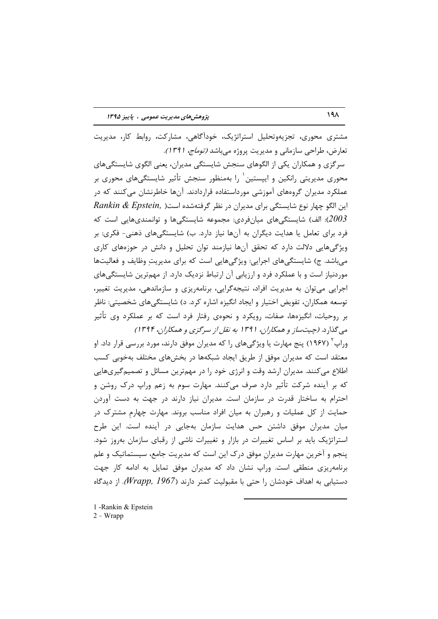مشتری محوری، تجزیهوتحلیل استراتژیک، خودآگاهی، مشارکت، روابط کار، مدیریت تعارض، طراحی سازمانی و مدیریت پروژه می باشد *(توماج، ۱۳۹۱).* سرگزی و همکاران یکی از الگوهای سنجش شایستگی مدیران، یعنی الگوی شایستگیهای محوری مدیریتی رانکین و ایپستین p را بهمنظور سنجش تأثیر شایستگیهای محوری بر عملکرد مدیران گروههای آموزشی مورداستفاده قراردادند. آنها خاطرنشان میکنند که در Rankin & Epstein, این الگو چهار نوع شایستگی برای مدیران در نظر گرفتهشده است( الف) شایستگیهای میانفردی: مجموعه شایستگیها و توانمندیهایی است که $2003$ فرد برای تعامل یا هدایت دیگران به آنها نیاز دارد. ب) شایستگیهای ذهنی- فکری: بر ویژگیهایی دلالت دارد که تحقق آنها نیازمند توان تحلیل و دانش در حوزههای کاری می باشد. ج) شایستگیهای اجرایی: ویژگیهایی است که برای مدیریت وظایف و فعالیتها موردنیاز است و با عملکرد فرد و ارزیابی آن ارتباط نزدیک دارد. از مهمترین شایستگی های اجرایی می توان به مدیریت افراد، نتیجه گرایی، برنامه یزی و سازماندهی، مدیریت تغییر، توسعه همکاران، تفویض اختیار و ایجاد انگیزه اشاره کرد. د) شایستگیهای شخصیتی: ناظر بر روحیات، انگیزهها، صفات، رویکرد و نحوهی رفتار فرد است که بر عملکرد وی تأثیر می گذارد. (چیت ساز و همکاران، ۱۳۹۱ به نقل از سرگزی و همکاران، ۱۳۹۴) وراپ<sup>۲</sup> (۱۹۶۷) پنج مهارت یا ویژگے های را که مدیران موفق دارند، مورد بررسی قرار داد. او معتقد است که مدیران موفق از طریق ایجاد شبکهها در بخشهای مختلف بهخوبی کسب اطلاع میکنند. مدیران ارشد وقت و انرژی خود را در مهمترین مسائل و تصمیمگیریهایی

که بر آینده شرکت تأثیر دارد صرف می کنند. مهارت سوم به زعم وراپ درک روشن و احترام به ساختار قدرت در سازمان است. مدیران نیاز دارند در جهت به دست آوردن حمایت از کل عملیات و رهبران به میان افراد مناسب بروند. مهارت چهارم مشترک در میان مدیران موفق داشتن حس هدایت سازمان بهجایی در آینده است. این طرح استراتژیک باید بر اساس تغییرات در بازار و تغییرات ناشی از رقبای سازمان بهروز شود. ینجم و آخرین مهارت مدیران موفق درک این است که مدیریت جامع، سیستماتیک و علم برنامهریزی منطقی است. وراپ نشان داد که مدیران موفق تمایل به ادامه کار جهت دستیابی به اهداف خودشان را حتی با مقبولیت کمتر دارند (Wrapp, 1967). از دیدگاه

1 - Rankin & Epstein  $2 - W$ rapp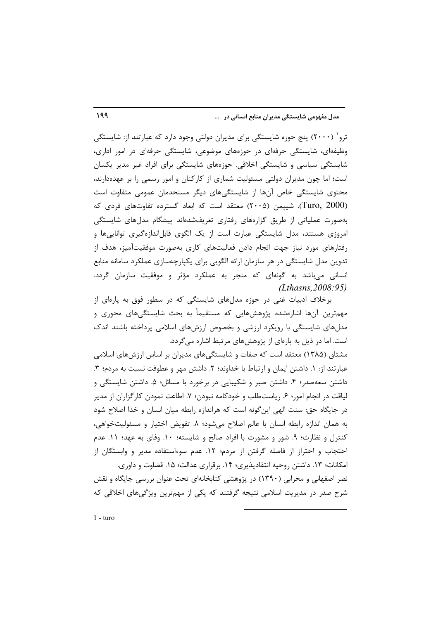ترو` (۲۰۰۰) پنج حوزه شایستگی برای مدیران دولتی وجود دارد که عبارتند از: شایستگی وظیفهای، شایستگی حرفهای در حوزههای موضوعی، شایستگی حرفهای در امور اداری، شایستگی سیاسی و شایستگی اخلاقی. حوزههای شایستگی برای افراد غیر مدیر یکسان است؛ اما چون مدیران دولتی مسئولیت شماری از کارکنان و امور رسمی را بر عهدهدارند، محتوی شایستگی خاص آنها از شایستگیهای دیگر مستخدمان عمومی متفاوت است (Turo, 2000). شییمن (۲۰۰۵) معتقد است که ابعاد گسترده تفاوتهای فردی که بهصورت عملیاتی از طریق گزارههای رفتاری تعریفشدهاند پیشگام مدلهای شایستگی امروزی هستند، مدل شایستگی عبارت است از یک الگوی قابلاندازهگیری تواناییها و رفتارهای مورد نیاز جهت انجام دادن فعالیتهای کاری بهصورت موفقیتآمیز، هدف از تدوین مدل شایستگی در هر سازمان ارائه الگویی برای یکپارچهسازی عملکرد سامانه منابع انسانی میباشد به گونهای که منجر به عملکرد مؤثر و موفقیت سازمان گردد.  $(Lthasns, 2008:95)$ 

برخلاف ادبیات غنی در حوزه مدلهای شایستگی که در سطور فوق به پارهای از مهمترین آنها اشارەشدە پژوهشهایی که مستقیماً به بحث شایستگیهای محوری و مدلهای شایستگی با رویکرد ارزشی و بخصوص ارزشهای اسلامی پرداخته باشند اندک است. اما در ذیل به پارهای از پژوهشهای مرتبط اشاره میگردد.

مشتاق (۱۳۸۵) معتقد است که صفات و شایستگیهای مدیران بر اساس ارزشهای اسلامی عبارتند از: ١. داشتن ايمان و ارتباط با خداوند؛ ٢. داشتن مهر و عطوفت نسبت به مردم؛ ٣. داشتن سعهصدر؛ ۴. داشتن صبر و شکیبایی در برخورد با مسائل؛ ۵. داشتن شایستگی و لياقت در انجام امور؛ ۶. رياستطلب و خودكامه نبودن؛ ۷. اطاعت نمودن كارگزاران از مدير در جایگاه حق: سنت الهی اینگونه است که هراندازه رابطه میان انسان و خدا اصلاح شود به همان اندازه رابطه انسان با عالم اصلاح میشود؛ ٨. تفویض اختیار و مسئولیتخواهی، کنترل و نظارت؛ ۹. شور و مشورت با افراد صالح و شایسته؛ ۱۰. وفای به عهد؛ ۱۱. عدم احتجاب و احتراز از فاصله گرفتن از مردم؛ ١٢. عدم سوءاستفاده مدير و وابستگان از امكانات؛ ١٣. داشتن روحيه انتقادپذيري؛ ١۴. برقراري عدالت؛ ١۵. قضاوت و داوري.

نصر اصفهانی و محرابی (۱۳۹۰) در پژوهشی کتابخانهای تحت عنوان بررسی جایگاه و نقش شرح صدر در مدیریت اسلامی نتیجه گرفتند که یکی از مهمترین ویژگیهای اخلاقی که

199

 $1 - \text{turo}$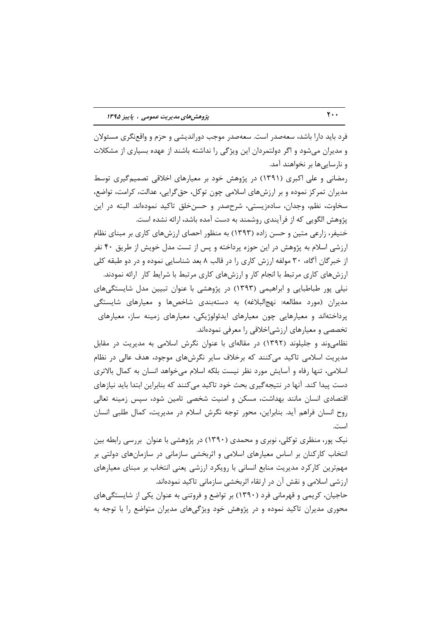فرد باید دارا باشد، سعهصدر است. سعهصدر موجب دوراندیشی و حزم و واقعنگری مسئولان و مدیران میشود و اگر دولتمردان این ویژگی را نداشته باشند از عهده بسیاری از مشکلات و نارساییها بر نخواهند آمد.

رمضانی و علی اکبری (۱۳۹۱) در پژوهش خود بر معیارهای اخلاقی تصمیم گیری توسط مدیران تمرکز نموده و بر ارزشهای اسلامی چون توکل، حق گرایی، عدالت، کرامت، تواضع، سخاوت، نظم، وجدان، سادهزیستی، شرحصدر و حسنِ خلق تاکید نمودهاند. البته در این پژوهش الگویی که از فرآیندی روشمند به دست آمده باشد، ارائه نشده است.

خنیفر، زارعی متین و حسن زاده (۱۳۹۳) به منظور احصای ارزشهای کاری بر مبنای نظام ارزشی اسلام به پژوهش در این حوزه پرداخته و پس از تست مدل خویش از طریق ۴۰ نفر از خبرگان آگاه، ۳۰ مولفه ارزش کاری را در قالب ۸ بعد شناسایی نموده و در دو طبقه کلی ارزشهای کاری مرتبط با انجام کار و ارزشهای کاری مرتبط با شرایط کار ارائه نمودند. نیلی پور طباطبایی و ابراهیمی (۱۳۹۳) در پژوهشی با عنوان تبیین مدل شایستگیهای مدیران (مورد مطالعه: نهجالبلاغه) به دستهبندی شاخصها و معیارهای شایستگی پرداختهاند و معیارهایی چون معیارهای ایدئولوژیکی، معیارهای زمینه ساز، معیارهای تخصصی و معیارهای ارزشی|خلاقی را معرفی نمودهاند.

نظامی وند و جلیلوند (۱۳۹۲) در مقالهای با عنوان نگرش اسلامی به مدیریت در مقابل مدیریت اسلامی تاکید می کنند که برخلاف سایر نگرشهای موجود، هدف عالی در نظام اسلامی، تنها رفاه و آسایش مورد نظر نیست بلکه اسلام می خواهد انسان به کمال بالاتری دست پیدا کند. آنها در نتیجهگیری بحث خود تاکید می کنند که بنابراین ابتدا باید نیازهای اقتصادی انسان مانند بهداشت، مسکن و امنیت شخصی تامین شود، سیس زمینه تعالی روح انسان فراهم آيد. بنابراين، محور توجه نگرش اسلام در مديريت، كمال طلبي انسان است.

نیک پور، منظری توکلی، نوبری و محمدی (۱۳۹۰) در پژوهشی با عنوان بررسی رابطه بین انتخاب کارکنان بر اساس معیارهای اسلامی و اثربخشی سازمانی در سازمانهای دولتی بر مهمترین کارکرد مدیریت منابع انسانی با رویکرد ارزشی یعنی انتخاب بر مبنای معیارهای ارزشی اسلامی و نقش آن در ارتقاء اثربخشی سازمانی تاکید نمودهاند.

حاجیان، کریمی و قهرمانی فرد (۱۳۹۰) بر تواضع و فروتنی به عنوان یکی از شایستگیهای محوری مدیران تاکید نموده و در پژوهش خود ویژگیهای مدیران متواضع را با توجه به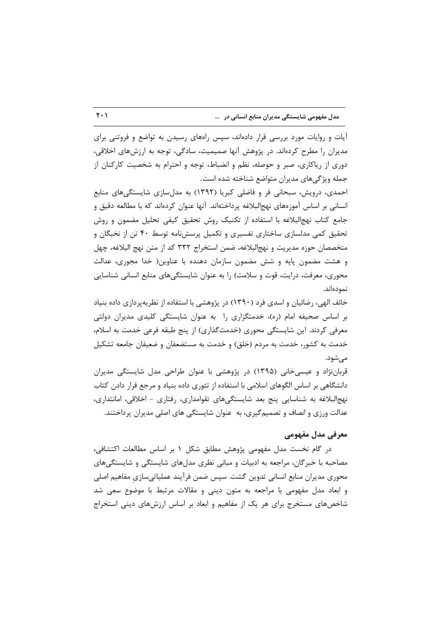آیات و روایات مورد بررسی قرار دادهاند، سپس راههای رسیدن به تواضع و فروتنی برای مدیران را مطرح کردهاند. در پژوهش آنها صمیمیت، سادگی، توجه به ارزشهای اخلاقی، دوری از ریاکاری، صبر و حوصله، نظم و انضباط، توجه و احترام به شخصیت کارکنان از جمله ویژگیهای مدیران متواضع شناخته شده است.

احمدی، درویش، سبحانی فر و فاضلی کبریا (۱۳۹۲) به مدلسازی شایستگیهای منابع انسانی بر اساس آموزههای نهجالبلاغه پرداختهاند. آنها عنوان کردهاند که با مطالعه دقیق و جامع كتاب نهج|لبلاغه با استفاده از تكنيك روش تحقيق كيفي تحليل مضمون و روش تحقیق کمی مدلسازی ساختاری تفسیری و تکمیل پرسشنامه توسط ۴۰ تن از نخبگان و متخصصان حوزه مديريت و نهج|لبلاغه، ضمن استخراج ٣٣٢ كد از متن نهج البلاغه، چهل و هشت مضمون پایه و شش مضمون سازمان دهنده با عناوین( خدا مجوری، عدالت محوری، معرفت، درایت، قوت و سلامت) را به عنوان شایستگیهای منابع انسانی شناسایی نمودەاند.

خائف الهی، رضائیان و اسدی فرد (۱۳۹۰) در پژوهشی با استفاده از نظریهپردازی داده بنیاد بر اساس صحیفه امام (ره)، خدمتگزاری را به عنوان شایستگی کلیدی مدیران دولتی معرفی کردند. این شایستگی محوری (خدمتگذاری) از پنج طبقه فرعی خدمت به اسلام، خدمت به کشور، خدمت به مردم (خلق) و خدمت به مستضعفان و ضعیفان جامعه تشکیل مے شود.

قرباننژاد و عیسی خانی (۱۳۹۵) در پژوهشی با عنوان طراحی مدل شایستگی مدیران دانشگاهی بر اساس الگوهای اسلامی با استفاده از تئوری داده بنیاد و مرجع قرار دادن کتاب نهج البلاغه به شناسایی پنج بعد شایستگیهای تقوامداری، رفتاری - اخلاقی، امانتداری، عدالت ورزی و انصاف و تصمیم گیری، به عنوان شایستگی های اصلی مدیران پرداختند.

### معرفی مدل مفهومی

در گام نخست مدل مفهومی پژوهش مطابق شکل ۱ بر اساس مطالعات اکتشافی، مصاحبه با خبرگان، مراجعه به ادبیات و مبانی نظری مدلهای شایستگی و شایستگیهای محوری مدیران منابع انسانی تدوین گشت. سپس ضمن فرآیند عملیاتیسازی مفاهیم اصلی و ابعاد مدل مفهومی با مراجعه به متون دینی و مقالات مرتبط با موضوع سعی شد شاخصهای مستخرج برای هر یک از مفاهیم و ابعاد بر اساس ارزشهای دینی استخراج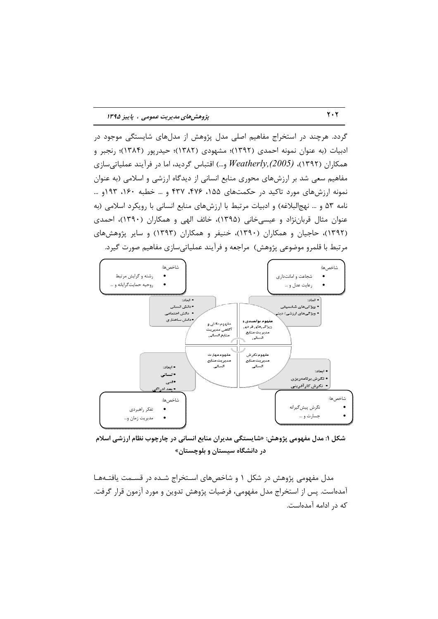گردد. هرچند در استخراج مفاهیم اصلی مدل پژوهش از مدلهای شایستگی موجود در ادبیات (به عنوان نمونه احمدی (۱۳۹۲)؛ مشهودی (۱۳۸۲)؛ حیدرپور (۱۳۸۴)؛ رنجبر و همکاران (۱۳۹۲)، *Weatherly,(2005)* و…) اقتباس گردید، اما در فرآیند عملیاتیسازی مفاهیم سعی شد بر ارزشهای محوری منابع انسانی از دیدگاه ارزشی و اسلامی (به عنوان نمونه ارزشهای مورد تاکید در حکمتهای ۱۵۵، ۴۷۶، ۴۳۷ و … خطبه ۱۶۰، ۱۹۳ و … نامه ۵۳ و … نهج البلاغه) و ادبیات مرتبط با ارزشهای منابع انسانی با رویکرد اسلامی (به عنوان مثال قربانِنزاد و عیسی خانی (۱۳۹۵)، خائف الهی و همکاران (۱۳۹۰)، احمدی (۱۳۹۲)، حاجیان و همکاران (۱۳۹۰)، خنیفر و همکاران (۱۳۹۳) و سایر پژوهشهای مرتبط با قلمرو موضوعی پژوهش) مراجعه و فرآیند عملیاتی سازی مفاهیم صورت گیرد.



شکل ۱: مدل مفهومی پژوهش: «شایستگی مدیران منابع انسانی در چارچوب نظام ارزشی اسلام در دانشگاه سیستان و بلوچستان»

مدل مفهومی پژوهش در شکل ۱ و شاخصهای استخراج شـده در قسـمت یافتـههـا آمدهاست. پس از استخراج مدل مفهومی، فرضیات پژوهش تدوین و مورد آزمون قرار گرفت. كه در ادامه آمدهاست.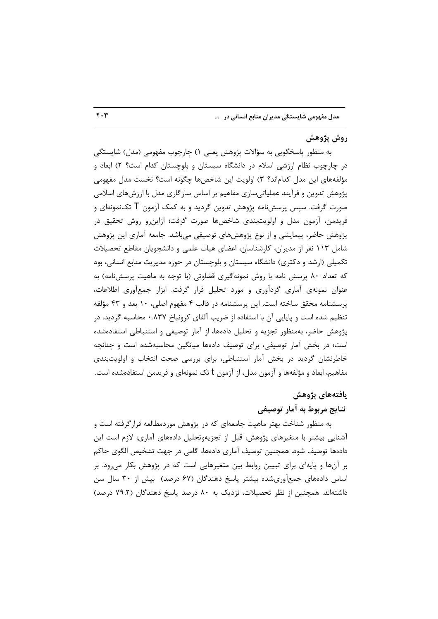#### روش پژوهش

به منظور پاسخگویی به سؤالات پژوهش یعنی ۱) چارچوب مفهومی (مدل) شایستگی در چارچوب نظام ارزشی اسلام در دانشگاه سیستان و بلوچستان کدام است؟ ۲) ابعاد و مؤلفههای این مدل کداماند؟ ۳) اولویت این شاخصها چگونه است؟ نخست مدل مفهومی پژوهش تدوین و فرآیند عملیاتیسازی مفاهیم بر اساس سازگاری مدل با ارزشهای اسلامی صورت گرفت. سیس پرسشنامه پژوهش تدوین گردید و به کمک آزمون  $\sf T$  تکنمونهای و فریدمن، آزمون مدل و اولویتبندی شاخصها صورت گرفت؛ ازاین و روش تحقیق در پژوهش حاضر، پیمایشی و از نوع پژوهشهای توصیفی میباشد. جامعه آماری این پژوهش شامل ۱۱۳ نفر از مدیران، کارشناسان، اعضای هیات علمی و دانشجویان مقاطع تحصیلات تکمیلی (ارشد و دکتری) دانشگاه سیستان و بلوچستان در حوزه مدیریت منابع انسانی، بود که تعداد ۸۰ پرسش نامه با روش نمونهگیری قضاوتی (با توجه به ماهیت پرسشنامه) به عنوان نمونهی آماری گردآوری و مورد تحلیل قرار گرفت. ابزار جمعأوری اطلاعات، پرسشنامه محقق ساخته است، این پرسشنامه در قالب ۴ مفهوم اصلی، ۱۰ بعد و ۴۳ مؤلفه تنظیم شده است و پایایی آن با استفاده از ضریب آلفای کرونباخ ۸۳۷. • محاسبه گردید. در پژوهش حاضر، بهمنظور تجزیه و تحلیل دادهها، از آمار توصیفی و استنباطی استفادهشده است؛ در بخش آمار توصیفی، برای توصیف دادهها میانگین محاسبهشده است و چنانچه خاطرنشان گردید در بخش آمار استنباطی، برای بررسی صحت انتخاب و اولویتبندی مفاهیم، ابعاد و مؤلفهها و آزمون مدل، از آزمون t تک نمونهای و فریدمن استفادهشده است.

#### يافتەهاي يژوهش

#### نتايج مربوط به آمار توصيفي

به منظور شناخت بهتر ماهیت جامعهای که در پژوهش موردمطالعه قرارگرفته است و آشنایی بیشتر با متغیرهای پژوهش، قبل از تجزیهوتحلیل دادههای آماری، لازم است این دادهها توصيف شود. همچنين توصيف آماري دادهها، گامي در جهت تشخيص الگوي حاكم بر آنها و پایهای برای تبیین روابط بین متغیرهایی است که در پژوهش بکار میرود. بر اساس دادههای جمعآوریشده بیشتر پاسخ دهندگان (۶۷ درصد) بیش از ۳۰ سال سن داشتهاند. همچنین از نظر تحصیلات، نزدیک به ۸۰ درصد پاسخ دهندگان (۷۹.۲ درصد)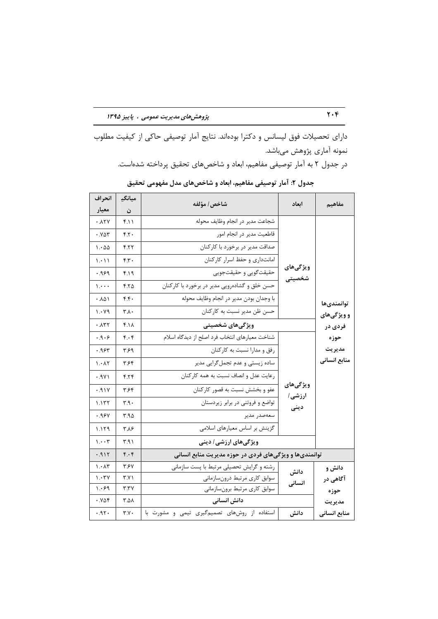دارای تحصیلات فوق لیسانس و دکترا بودهاند. نتایج آمار توصیفی حاکی از کیفیت مطلوب نمونه آماری پژوهش میباشد. در جدول ۲ به آمار توصیفی مفاهیم، ابعاد و شاخصهای تحقیق پرداخته شدهاست.

| انحراف                                | ميانگڍ      | شاخص/ مؤلفه                                            | ابعاد              | مفاهيم       |
|---------------------------------------|-------------|--------------------------------------------------------|--------------------|--------------|
| معيار                                 | ن           |                                                        |                    |              |
| ۰.۸۲۷                                 | ۴.۱۱        | شجاعت مدير در انجام وظايف محوله                        |                    |              |
| ۰.۷۵۳                                 | ۴.۲۰        | قاطعیت مدیر در انجام امور                              |                    |              |
| 1.00                                  | ۴.۲۲        | صداقت مدیر در برخورد با کارکنان                        |                    |              |
| 1.11                                  | ۴.۳۰        | امانتداری و حفظ اسرار کارکنان                          |                    |              |
| ۰۹۶۹                                  | ۴.۱۹        | حقيقت گويي و حقيقتجويي                                 | ويژگىھاي<br>شخصيتى |              |
| $\mathcal{L}$                         | ۴.۲۵        | حسن خلق و گشادهرویی مدیر در برخورد با کارکنان          |                    |              |
| ۰.۸۵۱                                 | f.f.        | با وجدان بودن مدير در انجام وظايف محوله                |                    | توانمندىها   |
| 1.49                                  | ۳.۸.        | حسن ظن مدير نسبت به كاركنان                            |                    | و ویژگیهای   |
| .177                                  | $f.\lambda$ | ویژگیهای شخصیتی                                        |                    | فردی در      |
| .9.9                                  | ۴.۰۴        | شناخت معيارهاى انتخاب فرد اصلح از ديدگاه اسلام         |                    | حوزه         |
| ۶۴۳.۰                                 | ۳۶۹         | رفق و مدارا نسبت به کارکنان                            |                    | مديريت       |
| $\lambda \cdot \lambda \tau$          | ۳.۶۴        | ساده زیستی و عدم تجمل گرایی مدیر                       |                    | منابع انسانى |
| .9Y1                                  | 5.78        | رعايت عدل و انصاف نسبت به همه كاركنان                  |                    |              |
| .91Y                                  | ۳.۶۴        | عفو و بخشش نسبت به قصور کارکنان                        | ويژگىھاي           |              |
| 1.177                                 | ۳۹۰         | تواضع و فروتنی در برابر زیردستان                       | ارزشی/<br>دينى     |              |
| .98Y                                  | ۳.۹۵        | سعەصدر مدير                                            |                    |              |
| 1.179                                 | ۳.۸۶        | گزینش بر اساس معیارهای اسلامی                          |                    |              |
| $\mathcal{N} \cdot \cdot \mathcal{N}$ | ۳۹۱         | ویژگیهای ارزش <i>ی  </i> دینی                          |                    |              |
| .915                                  | $f \cdot f$ | توانمندیها و ویژگیهای فردی در حوزه مدیریت منابع انسانی |                    |              |
| $\mathcal{N}$                         | ۳۶۷         | رشته و گرایش تحصیلی مرتبط با پست سازمانی               |                    | دانش و       |
| 1.54                                  | ۲.۷۱        | سوابق كارى مرتبط درونسازماني                           | دانش               | آگاهی در     |
| 1.69                                  | ۳.۳۷        | سوابق كارى مرتبط برونسازماني                           | انسانى             | حوزه         |
| .986                                  | ۸۵.۲        | دانش انسانی                                            |                    | مديريت       |
| ۰.۹۲۰                                 | Y.Y.        | استفاده از روشهای تصمیم گیری تیمی و مشورت با           | دانش               | منابع انسانى |

جدول ۲: آمار توصیفی مفاهیم، ابعاد و شاخصهای مدل مفهومی تحقیق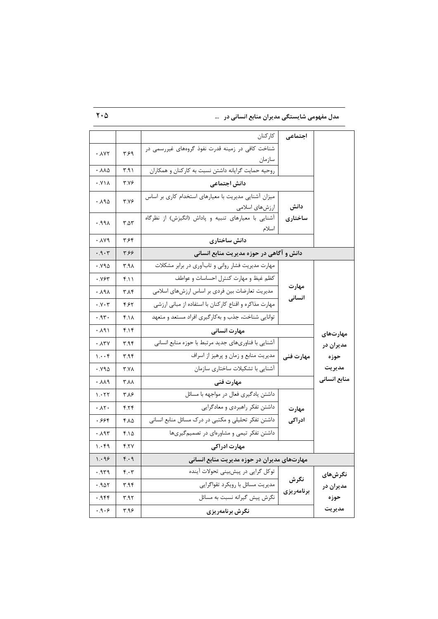مدل مفهومی شایستگی مدیران منابع انسانی در س

|                               |              | كاركنان                                                      | اجتماعى            |              |
|-------------------------------|--------------|--------------------------------------------------------------|--------------------|--------------|
| .1YY                          | ۳۶۹          | شناخت کافی در زمینه قدرت نفوذ گروههای غیررسمی در             |                    |              |
|                               |              | سازمان                                                       |                    |              |
| $. \lambda \lambda \Delta$    | ۳.۹۱         | روحيه حمايت گرايانه داشتن نسبت به كاركنان و همكاران          |                    |              |
| .111                          | <b>٣.٧۶</b>  | دانش اجتماعی                                                 |                    |              |
| ۰.۸۹۵                         | <b>٣.٧۶</b>  | میزان آشنایی مدیریت با معیارهای استخدام کاری بر اساس         |                    |              |
|                               |              | ارزشهای اسلامی                                               | دانش               |              |
| APA.                          | $T.\Delta Y$ | آشنایی با معیارهای تنبیه و پاداش (انگیزش) از نظرگاه<br>اسلام | ساختارى            |              |
| ۰.۸۷۹                         | ۳۶۴          | دانش ساختاری                                                 |                    |              |
| .9.7                          | ۳۶۶          | دانش و آگاهی در حوزه مدیریت منابع انسانی                     |                    |              |
| .990                          | ۳.۹۸         | مهارت مدیریت فشار روانی و تابآوری در برابر مشکلات            |                    |              |
| .985                          | ۴.۱۱         | كظم غيظ و مهارت كنترل احساسات و عواطف                        |                    |              |
| ۸۹۸. ۰                        | ۳۸۴          | مدیریت تعارضات بین فردی بر اساس ارزشهای اسلامی               | مهارت<br>انسانی    |              |
| $\cdot$ $\vee$ $\cdot$ $\tau$ | ۴۶۲          | مهارت مذاکره و اقناع کارکنان با استفاده از مبانی ارزشی       |                    |              |
| ۰۹۳۰                          | ۴.۱۸         | توانایی شناخت، جذب و به کار گیری افراد مستعد و متعهد         |                    |              |
| ۰.۸۹۱                         | ۴.۱۴         | مهارت انسانی                                                 |                    | مهارتهای     |
| $\cdot \lambda$ ۳۷            | ۳.۹۴         | آشنایی با فناوریهای جدید مرتبط با حوزه منابع انسانی          |                    | مديران در    |
| $1 \cdot \cdot f$             | ۳.۹۴         | مدیریت منابع و زمان و پرهیز از اسراف                         | مهارت فنی          | حوزه         |
| .990                          | <b>T.YA</b>  | آشنایی با تشکیلات ساختاری سازمان                             |                    | مديريت       |
| .11.1                         | ۸۸. ۳        | مهارت فنى                                                    |                    | منابع انسانى |
| 1.577                         | ۳.۸۶         | داشتن یادگیری فعال در مواجهه با مسائل                        |                    |              |
| $\cdot \Lambda$ ۲۰            | ۴.۲۴         | داشتن تفكر راهبردى و معادگرايي                               | مهارت              |              |
| ۶۶۴.                          | ۴۸۵          | داشتن تفکر تحلیلی و مکتبی در درک مسائل منابع انسانی          | ادراكى             |              |
| ۰.۸۹۳                         | ۴.۱۵         | داشتن تفکر تیمی و مشاورهای در تصمیم گیریها                   |                    |              |
| ۱.۰۴۹                         | ۴.۲۷         | مهارت ادراکی                                                 |                    |              |
| 1.99                          | ۴۰۹          | مهارتهای مدیران در حوزه مدیریت منابع انسانی                  |                    |              |
| ۹۳۹. ۰                        | ۴۰۰۳         | توکل گرایی در پیشبینی تحولات آینده                           |                    | نگرشهای      |
| ۹۵۲. ۰                        | ۳.۹۴         | مدیریت مسائل با رویکرد تقواگرایی                             | نگرش<br>برنامەريزى | مديران در    |
| ۰.۹۴۴                         | ۳.۹۲         | نگرش پیش گیرانه نسبت به مسائل                                |                    | حوزه         |
| .9.9                          | ۳.۹۶         | نگرش برنامەريزى                                              |                    | مديريت       |

 $\mathbf{Y}\cdot\mathbf{Q}$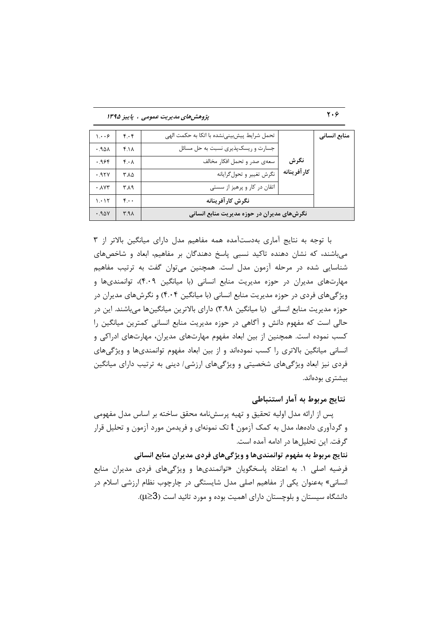پژوهش های مدیریت عمومی ، پاییز ۱۳۹۵

| منابع انسانی |              | تحمل شرایط پیشبینی نشده با اتکا به حکمت الهی | $f \cdot f$ | 1.49          |
|--------------|--------------|----------------------------------------------|-------------|---------------|
|              |              | جسارت و ریسکپذیری نسبت به حل مسائل           | ۴.۱۸        | $.90\text{A}$ |
|              | نگرش         | سعهى صدر و تحمل افكار مخالف                  | ۴۰۸         | .986          |
|              | كار آفرينانه | نگرش تغيير و تحول گرايانه                    | ۸۵. ۳       | .95Y          |
|              |              | اتقان در کار و پرهيز از سستي                 | ۳۸۹         | .117          |
|              |              | نگرش کار آفرینانه                            | ۴.۰۰        | 1.01          |
|              |              | نگرشهای مدیران در حوزه مدیریت منابع انسانی   | A.7         | .90Y          |

با توجه به نتایج آماری بهدستآمده همه مفاهیم مدل دارای میانگین بالاتر از ۳ میباشند، که نشان دهنده تاکید نسبی پاسخ دهندگان بر مفاهیم، ابعاد و شاخصهای شناسایی شده در مرحله آزمون مدل است. همچنین میتوان گفت به ترتیب مفاهیم مهارتهای مدیران در حوزه مدیریت منابع انسانی (با میانگین ۴.۰۹)، توانمندیها و ویژگیهای فردی در حوزه مدیریت منابع انسانی (با میانگین ۴.۰۴) و نگرشهای مدیران در حوزه مدیریت منابع انسانی (با میانگین ۳.۹۸) دارای بالاترین میانگینها میباشند. این در حالی است که مفهوم دانش و آگاهی در حوزه مدیریت منابع انسانی کمترین میانگین را کسب نموده است. همچنین از بین ابعاد مفهوم مهارتهای مدیران، مهارتهای ادراکی و انسانی میانگین بالاتری را کسب نمودهاند و از بین ابعاد مفهوم توانمندیها و ویژگیهای فردی نیز ابعاد ویژگیهای شخصیتی و ویژگیهای ارزشی/ دینی به ترتیب دارای میانگین بیشتری بودهاند.

#### نتايج مربوط به آمار استنباطي

یس از ارائه مدل اولیه تحقیق و تهیه پرسشiامه محقق ساخته بر اساس مدل مفهومی و گردآوری دادهها، مدل به کمک آزمون t تک نمونهای و فریدمن مورد آزمون و تحلیل قرار گرفت. این تحلیلها در ادامه آمده است.

نتایج مربوط به مفهوم توانمندیها و ویژگیهای فردی مدیران منابع انسانی فرضیه اصلی ۱. به اعتقاد پاسخگویان «توانمندیها و ویژگیهای فردی مدیران منابع انسانی» بهعنوان یکی از مفاهیم اصلی مدل شایستگی در چارچوب نظام ارزشی اسلام در دانشگاه سیستان و بلوچستان دارای اهمیت بوده و مورد تائید است (3≤µ).

 $\mathbf{y} \cdot \mathbf{y}$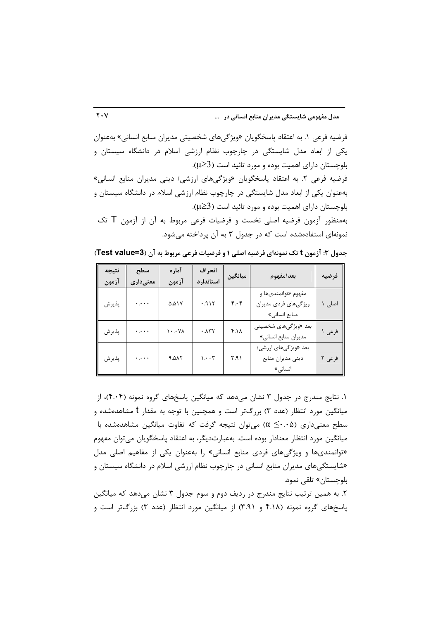فرضیه فرعی ١. به اعتقاد پاسخگویان «ویژگیهای شخصیتی مدیران منابع انسانی» بهعنوان یکی از ابعاد مدل شایستگی در چارچوب نظام ارزشی اسلام در دانشگاه سیستان و بلوچستان دارای اهمیت بوده و مورد تائید است (3<L). فرضیه فرعی ٢. به اعتقاد پاسخگویان «ویژگیهای ارزشی / دینی مدیران منابع انسانی» بهعنوان یکی از ابعاد مدل شایستگی در چارچوب نظام ارزشی اسلام در دانشگاه سیستان و بلوچستان دارای اهمیت بوده و مورد تائید است (3 $\geq$ . بهمنظور آزمون فرضیه اصلی نخست و فرضیات فرعی مربوط به آن از آزمون  $\sf{T}$  تک نمونهای استفادهشده است که در جدول ۳ به آن پرداخته می شود.

جدول ٣: آزمون t تک نمونهای فرضیه اصلی ١ و فرضیات فرعی مربوط به آن (3=Test value)

| نتيجه<br>آزمون | سطح<br>معنىدارى | آماره<br>آزمون                  | انحراف<br>استاندارد                   | ميانگين     | بعد/مفهوم                                                    | فرضيه  |
|----------------|-----------------|---------------------------------|---------------------------------------|-------------|--------------------------------------------------------------|--------|
| پذيرش          | $\ddotsc$       | ۵.۵۱۷                           | 719.7                                 | $f.\cdot f$ | مفهوم «توانمندىها و<br>ویژگیهای فردی مدیران<br>منابع انسانى» | اصلی ۱ |
| پذيرش          | لمحترم          | $\lambda$ Y $\cdot$ . $\lambda$ | ٠.٨٣٢                                 | $f.\lambda$ | بعد «ویژگیهای شخصیتی<br>مديران منابع انساني»                 | فرعی ۱ |
| پذيرش          | $\ddotsc$       | 9.017                           | $\mathcal{L} \cdot \cdot \mathcal{L}$ | 4.91        | بعد «ویژگیهای ارزشی/<br>دینی مدیران منابع<br>انسانى»         | فرعی ۲ |

۱. نتایج مندرج در جدول ۳ نشان می دهد که میانگین پاسخهای گروه نمونه (۴۰۰۴)، از میانگین مورد انتظار (عدد ۳) بزرگتر است و همچنین با توجه به مقدار t مشاهدهشده و سطح معنیداری (۲۰۰۵ $\alpha \leq \alpha_0$ ) می توان نتیجه گرفت که تفاوت میانگین مشاهدهشده با میانگین مورد انتظار معنادار بوده است. بهعبارتدیگر، به اعتقاد پاسخگویان مے توان مفهوم «توانمندیها و ویژگیهای فردی منابع انسانی» را بهعنوان یکی از مفاهیم اصلی مدل «شایستگیهای مدیران منابع انسانی در چارچوب نظام ارزشی اسلام در دانشگاه سیستان و بلوچستان» تلقے نمود.

۲. به همین ترتیب نتایج مندرج در ردیف دوم و سوم جدول ۳ نشان میدهد که میانگین پاسخهای گروه نمونه (۴.۱۸ و ۳.۹۱) از میانگین مورد انتظار (عدد ۳) بزرگتر است و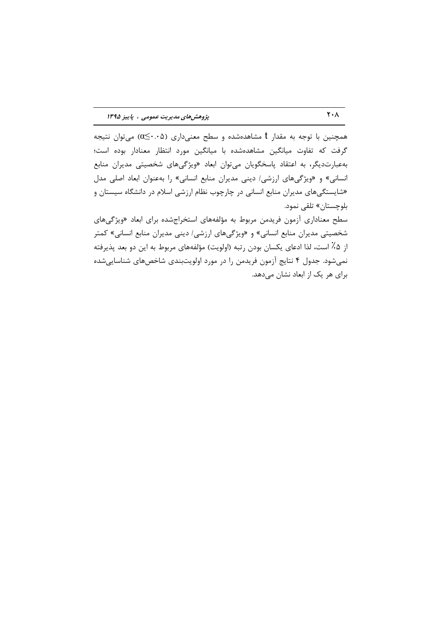همچنین با توجه به مقدار t مشاهدهشده و سطح معنیداری (۵×۶۰ک)) میتوان نتیجه گرفت که تفاوت میانگین مشاهدهشده با میانگین مورد انتظار معنادار بوده است؛ به عبارت دیگر، به اعتقاد پاسخگویان می توان ابعاد «ویژگیهای شخصیتی مدیران منابع انسانی» و «ویژگیهای ارزشی/ دینی مدیران منابع انسانی» را به عنوان ابعاد اصلی مدل «شایستگیهای مدیران منابع انسانی در چارچوب نظام ارزشی اسلام در دانشگاه سیستان و بلوچستان» تلقى نمود.

سطح معناداری آزمون فریدمن مربوط به مؤلفههای استخراجشده برای ابعاد «ویژگیهای شخصیتی مدیران منابع انسانی» و «ویژگیهای ارزشی/ دینی مدیران منابع انسانی» کمتر از ۵٪ است، لذا ادعای یکسان بودن رتبه (اولویت) مؤلفههای مربوط به این دو بعد پذیرفته نمیشود. جدول ۴ نتایج آزمون فریدمن را در مورد اولویتبندی شاخصهای شناسایی شده برای هر یک از ابعاد نشان می دهد.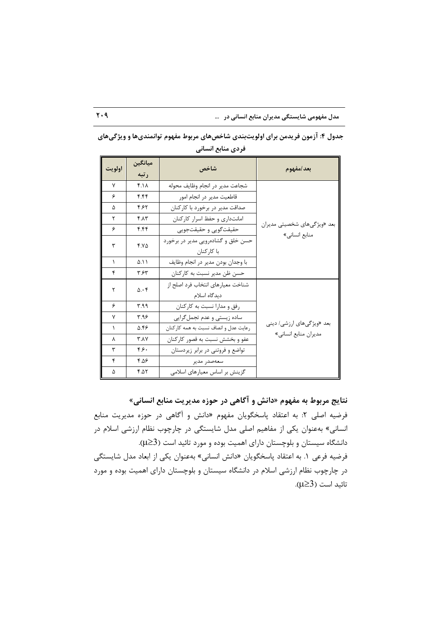مدل مفهومی شایستگی مدیران منابع انسانی در ...

| اولويت       | ميانگين<br>رتبه | شاخص                                              | بعد/مفهوم                                    |  |
|--------------|-----------------|---------------------------------------------------|----------------------------------------------|--|
| $\mathsf{v}$ | $f \Lambda$     | شجاعت مدير در انجام وظايف محوله                   |                                              |  |
| ۶            | ۴.۴۴            | قاطعيت مدير در انجام امور                         |                                              |  |
| ۵            | ۴.۶۲            | صداقت مدیر در برخورد با کارکنان                   |                                              |  |
| ٢            | $f \Lambda$     | امانتداری و حفظ اسرار کارکنان                     |                                              |  |
| ۶            | ۴.۴۴            | حقيقتگويي و حقيقتجويي                             | بعد «ویژگیهای شخصیتی مدیران<br>منابع انسانی» |  |
| ٣            | $Y.Y\Delta$     | حسن خلق و گشادهرویی مدیر در برخورد<br>با کا, کنان |                                              |  |
| 1            | ۵.۱۱            | با وجدان بودن مدير در انجام وظايف                 |                                              |  |
| ۴            | ۳.۶۳            | حسن ظن مدير نسبت به كاركنان                       |                                              |  |
| ٢            | $0.\cdot 5$     | شناخت معيارهاي انتخاب فرد اصلح از<br>دیدگاه اسلام |                                              |  |
| ۶            | ۳۹۹             | رفق و مدارا نسبت به كاركنان                       |                                              |  |
| ٧            | ۳.۹۶            | ساده زیستی و عدم تجمل گرایی                       |                                              |  |
| $\lambda$    | 5.46            | رعايت عدل و انصاف نسبت به همه كاركنان             | بعد «ویژگیهای ارزشی/ دینی                    |  |
| Υ            | <b>٣.٨٧</b>     | عفو و بخشش نسبت به قصور کارکنان                   | مديران منابع انساني»                         |  |
| ٣            | ۴۶.             | تواضع و فروتنی در برابر زیردستان                  |                                              |  |
| ۴            | ۴.۵۶            | سعەصدر مدير                                       |                                              |  |
| ۵            | ۴.۵۲            | گزینش بر اساس معیارهای اسلامی                     |                                              |  |

جدول ۴: آزمون فریدمن برای اولویتبندی شاخصهای مربوط مفهوم توانمندیها و ویژگیهای فردي منابع انساني

نتايج مربوط به مفهوم «دانش و آگاهي در حوزه مديريت منابع انساني» فرضیه اصلی ۲: به اعتقاد پاسخگویان مفهوم «دانش و آگاهی در حوزه مدیریت منابع انسانی» بهعنوان یکی از مفاهیم اصلی مدل شایستگی در چارچوب نظام ارزشی اسلام در دانشگاه سیستان و بلوچستان دارای اهمیت بوده و مورد تائید است (3≤µ). فرضیه فرعی ١. به اعتقاد پاسخگویان «دانش انسانی» بهعنوان یکی از ابعاد مدل شایستگی در چارچوب نظام ارزشی اسلام در دانشگاه سیستان و بلوچستان دارای اهمیت بوده و مورد تائيد است (3≤µ).

 $Y \cdot 9$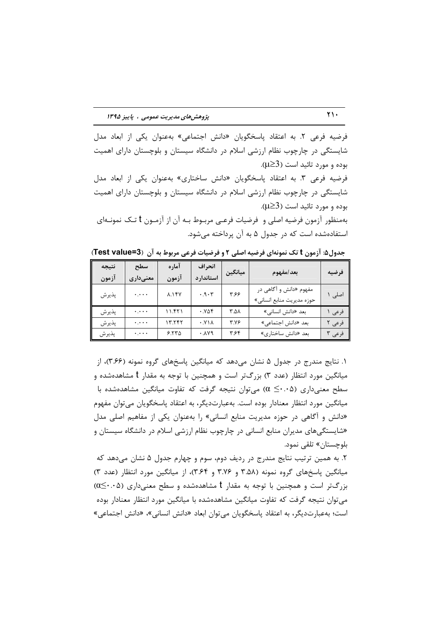فرضيه فرعي ٢. به اعتقاد پاسخگويان «دانش اجتماعي» بهعنوان يكي از ابعاد مدل شایستگی در چارچوب نظام ارزشی اسلام در دانشگاه سیستان و بلوچستان دارای اهمیت بوده و مورد تائيد است (3≤W). فرضیه فرعی ٣. به اعتقاد پاسخگویان «دانش ساختاری» بهعنوان یکی از ابعاد مدل شایستگی در چارچوب نظام ارزشی اسلام در دانشگاه سیستان و بلوچستان دارای اهمیت بوده و مورد تائيد است (3< $\mu$ ). بهمنظور آزمون فرضيه اصلي و فرضيات فرعـي مربــوط بــه آن از آزمــون t تــك نمونــهاي

استفادهشده است که در جدول ۵ به آن پرداخته می شود.

| نتيجه<br>آزمون | سطح<br>معنىدارى           | آماره<br>آزمون | انحراف<br>استاندار د | ميانگين | بعد/مفهوم                                           | فرضيه  |
|----------------|---------------------------|----------------|----------------------|---------|-----------------------------------------------------|--------|
| پذيرش          | $\ddotsc$                 | <b>A.14Y</b>   | .9.7                 | ۶۶۶     | مفهوم «دانش و آگاهی در<br>حوزه مديريت منابع انساني» | اصلی   |
| پذيرش          | $\ddotsc$                 | ۱۱.۴۲۱         | .985                 | ۸۵.۲    | بعد «دانش انسانی»                                   | فرعى   |
| پذيرش          | $\ddotsc$                 | ۱۳.۲۴۲         | . Y <sub>1</sub>     | ۳.۷۶    | بعد «دانش اجتماعي»                                  | افرعى  |
| پذيرش          | $\cdot$ , $\cdot$ $\cdot$ | 5.570          | .119                 | ۳۶۴     | بعد «دانش ساختاري»                                  | فرعی ۳ |

جدول ۵: آزمون t تک نمونهای فرضیه اصلی ۲ و فرضیات فرعی مربوط به آن (Test value=3)

۱. نتایج مندرج در جدول ۵ نشان می دهد که میانگین پاسخهای گروه نمونه (۳.۶۶)، از میانگین مورد انتظار (عدد ۳) بزرگتر است و همچنین با توجه به مقدار t مشاهدهشده و سطح معنیداری (۵۰۰^≥ α) می توان نتیجه گرفت که تفاوت میانگین مشاهدهشده با میانگین مورد انتظار معنادار بوده است. بهعبارتدیگر، به اعتقاد پاسخگویان می توان مفهوم «دانش و آگاهی در حوزه مدیریت منابع انسانی» را بهعنوان یکی از مفاهیم اصلی مدل «شایستگیهای مدیران منابع انسانی در چارچوب نظام ارزشی اسلام در دانشگاه سیستان و بلوچستان» تلقى نمود.

۲. به همین ترتیب نتایج مندرج در ردیف دوم، سوم و چهارم جدول ۵ نشان میدهد که میانگین پاسخهای گروه نمونه (۳.۵۸ و ۳.۷۶ و ۳.۶۴)، از میانگین مورد انتظار (عدد ۳)  $\alpha \leq \cdot \cdot \alpha$ بزرگتر است و همچنین با توجه به مقدار t مشاهدهشده و سطح معنیداری (۰.۰۵) می توان نتیجه گرفت که تفاوت میانگین مشاهدهشده با میانگین مورد انتظار معنادار بوده است؛ به عبارت دیگر، به اعتقاد پاسخگویان می توان ابعاد «دانش انسانی»، «دانش اجتماعی»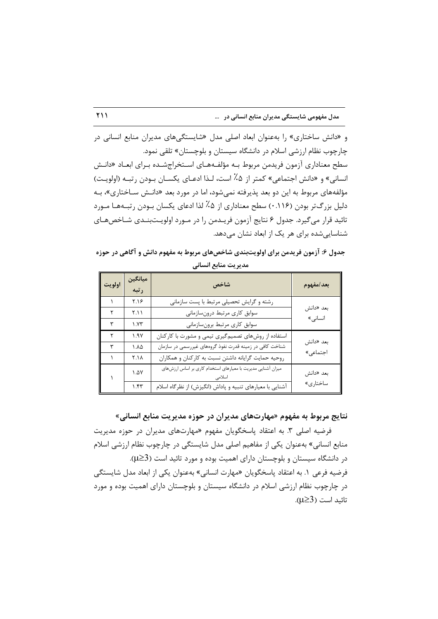و «دانش ساختاری» را بهعنوان ابعاد اصلی مدل «شایستگیهای مدیران منابع انسانی در چارچوب نظام ارزشی اسلام در دانشگاه سیستان و بلوچستان» تلقی نمود. سطح معناداری آزمون فریدمن مربوط بـه مؤلفـههـای اسـتخراجشـده بـرای ابعـاد «دانـش انساني» و «دانش اجتماعي» كمتر از ۵٪ است، لـذا ادعـاي يكســان بـودن , تبــه (اولويـت) مؤلفههای مربوط به این دو بعد پذیرفته نمیشود، اما در مورد بعد «دانـش سـاختاری»، بـه دلیل بزرگتر بودن (۱۱۶۰) سطح معناداری از ۰۵٪ لذا ادعای یکسان بـودن رتبـههـا مـورد تائيد قرار مي گيرد. جدول ۶ نتايج آزمون فريـدمن را در مــورد اولويــتبنــدي شــاخصهــاي شناسایی شده برای هر یک از ابعاد نشان میدهد.

جدول ۶: آزمون فریدمن برای اولویتبندی شاخصهای مربوط به مفهوم دانش و آگاهی در حوزه مديريت منابع انساني

| اولويت | ميانگين<br>رتبه      | شاخص                                                         | بعد/مفهوم |
|--------|----------------------|--------------------------------------------------------------|-----------|
|        | ۲.۱۶                 | رشته و گرایش تحصیلی مرتبط با پست سازمانی                     |           |
| ٢      | Y.11                 | سوابق كارى مرتبط درونسازماني                                 | بعد «دانش |
| ٣      | ۱.۷۳                 | سوابق كارى مرتبط برونسازماني                                 | انسانی»   |
| ۲      | 1.9V                 | استفاده از روشهای تصمیمگیری تیمی و مشورت با کارکنان          | بعد «دانش |
| ٣      | ۸۸۵.                 | شناخت کافی در زمینه قدرت نفوذ گروههای غیررسمی در سازمان      |           |
|        | ۲.۱۸                 | روحيه حمايت گرايانه داشتن نسبت به كاركنان و همكاران          | اجتماعی»  |
|        | $\Lambda$ $\Delta$ Y | میزان آشنایی مدیریت با معیارهای استخدام کاری بر اساس ارزشهای | بعد «دانش |
|        | ۱.۴۳                 | آشنایی با معیارهای تنبیه و پاداش (انگیزش) از نظرگاه اسلام    | ساختارى»  |

نتایج مربوط به مفهوم «مهارتهای مدیران در حوزه مدیریت منابع انسانی»

فرضیه اصلی ۳. به اعتقاد پاسخگویان مفهوم «مهارتهای مدیران در حوزه مدیریت منابع انسانی» بهعنوان یکی از مفاهیم اصلی مدل شایستگی در چارچوب نظام ارزشی اسلام در دانشگاه سیستان و بلوچستان دارای اهمیت بوده و مورد تائید است (3≤µ). فرضيه فرعي ١. به اعتقاد پاسخگويان «مهارت انساني» بهعنوان يكي از ابعاد مدل شايستگي در چارچوب نظام ارزشی اسلام در دانشگاه سیستان و بلوچستان دارای اهمیت بوده و مورد تائيد است (3≤µ).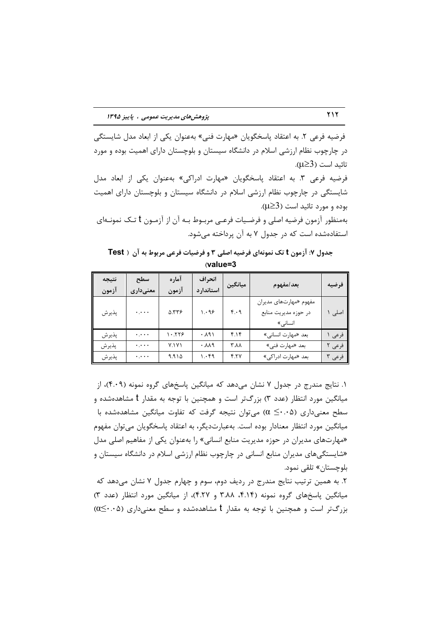فرضیه فرعی ۲. به اعتقاد پاسخگویان «مهارت فنی» بهعنوان یکی از ابعاد مدل شایستگی در چارچوب نظام ارزشی اسلام در دانشگاه سیستان و بلوچستان دارای اهمیت بوده و مورد تائيد است (3≤µ).

فرضيه فرعي ٣. به اعتقاد پاسخگويان «مهارت ادراكي» بهعنوان يكي از ابعاد مدل شایستگی در چارچوب نظام ارزشی اسلام در دانشگاه سیستان و بلوچستان دارای اهمیت بوده و مورد تائيد است (3< $\mu$ ).

بهمنظور آزمون فرضیه اصلی و فرضـیات فرعـی مربـوط بـه آن از آزمـون t تـک نمونـهای استفادهشده است که در جدول ۷ به آن پرداخته می شود.

جدول ۷: آزمون t تک نمونهای فرضیه اصلی ۳ و فرضیات فرعی مربوط به آن ( Test  $v$ alue=3

| نتيجه<br>آزمون | سطح<br>معنىدارى | آماره<br>آزمون | انحراف<br>استاندار د | ميانگين        | بعد/مفهوم                                                 | فرضيه  |
|----------------|-----------------|----------------|----------------------|----------------|-----------------------------------------------------------|--------|
| پذيرش          | $\ddotsc$       | 9.476          | 1.99                 | $f \cdot \eta$ | مفهوم «مهارتهای مدیران<br>در حوزه مديريت منابع<br>انسانی» | اصلی   |
| پذيرش          | $\ddots$        | ۱۰.۲۲۶         | 4.191                | ۴.۱۴           | بعد «مهارت انساني»                                        | فرعى   |
| پذيرش          | $\ddotsc$       | Y.1Y1          | .119                 | ۸۸.۲           | بعد «مهارت فني»                                           | فرعی ۲ |
| پذيرش          | $\cdots$        | 9.910          | ۱.۰۴۹                | 4.77           | بعد «مهارت ادراكي»                                        | فرعی ۳ |

۱. نتایج مندرج در جدول ۷ نشان میدهد که میانگین پاسخهای گروه نمونه (۴۰۰۹)، از میانگین مورد انتظار (عدد ۳) بزرگتر است و همچنین با توجه به مقدار t مشاهدهشده و سطح معنیداری (۵۰.۰ک) میتوان نتیجه گرفت که تفاوت میانگین مشاهدهشده با میانگین مورد انتظار معنادار بوده است. بهعبارتدیگر، به اعتقاد پاسخگویان می توان مفهوم «مهارتهای مدیران در حوزه مدیریت منابع انسانی» را بهعنوان یکی از مفاهیم اصلی مدل «شایستگیهای مدیران منابع انسانی در چارچوب نظام ارزشی اسلام در دانشگاه سیستان و بلوچستان» تلقى نمود.

۲. به همین ترتیب نتایج مندرج در ردیف دوم، سوم و چهارم جدول ۷ نشان میدهد که میانگین یاسخهای گروه نمونه (۴.۱۴، ۳.۸۸ و ۴.۲۷)، از میانگین مورد انتظار (عدد ۳)  $\alpha \leq \cdot \cdot \alpha$ بزرگتر است و همچنین با توجه به مقدار t مشاهدهشده و سطح معنیداری (۵ $\leq \cdot \cdot \alpha$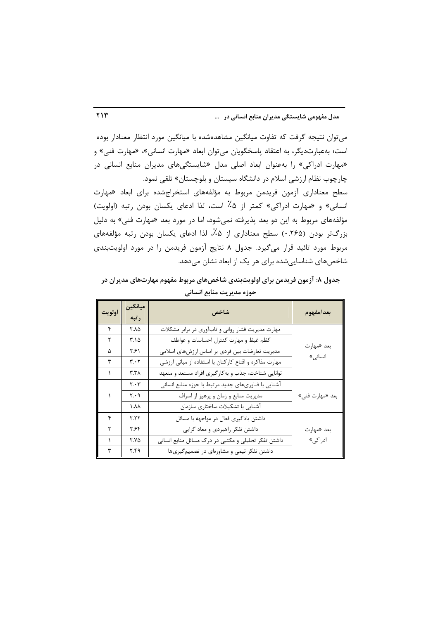میتوان نتیجه گرفت که تفاوت میانگین مشاهدهشده با میانگین مورد انتظار معنادار بوده است؛ به عبارت دیگر، به اعتقاد پاسخگویان می توان ابعاد «مهارت انسانی»، «مهارت فنی» و «مهارت ادراكي» را بهعنوان ابعاد اصلى مدل «شايستگىهاى مديران منابع انسانى در چارچوب نظام ارزشی اسلام در دانشگاه سیستان و بلوچستان» تلقی نمود.

سطح معناداری آزمون فریدمن مربوط به مؤلفههای استخراجشده برای ابعاد «مهارت انسانی» و «مهارت ادراکی» کمتر از ۵٪ است، لذا ادعای یکسان بودن رتبه (اولویت) مؤلفههای مربوط به این دو بعد پذیرفته نمیشود، اما در مورد بعد «مهارت فنی» به دلیل بزرگتر بودن (۲۶۵.۰) سطح معناداری از ۵٪، لذا ادعای یکسان بودن رتبه مؤلفههای مربوط مورد تائيد قرار مي گيرد. جدول ٨ نتايج آزمون فريدمن را در مورد اولويتبندي شاخص های شناسایی شده برای هر یک از ابعاد نشان می دهد.

جدول ۸: آزمون فریدمن برای اولویتبندی شاخصهای مربوط مفهوم مهارتهای مدیران در حوزه مديريت منابع انساني

| اولويت | ميانگين<br>رتبه               | شاخص                                                   | بعد/مفهوم       |
|--------|-------------------------------|--------------------------------------------------------|-----------------|
| ۴      | 7.٨۵                          | مهارت مدیریت فشار روانی و تابآوری در برابر مشکلات      |                 |
| ٢      | $T.\Delta$                    | كظم غيظ و مهارت كنترل احساسات و عواطف                  | بعد «مهارت      |
| ۵      | ۲۶۱                           | مدیریت تعارضات بین فردی بر اساس ارزشهای اسلامی         | انسانی»         |
| ٣      | $\mathbf{r}\cdot\mathbf{r}$   | مهارت مذاکره و اقناع کارکنان با استفاده از مبانی ارزشی |                 |
|        | ۳.۳۸                          | توانایی شناخت، جذب و بهکارگیری افراد مستعد و متعهد     |                 |
|        | $\mathbf{Y} \cdot \mathbf{Y}$ | آشنایی با فناوریهای جدید مرتبط با حوزه منابع انسانی    |                 |
|        | $\mathbf{y} \cdot \mathbf{y}$ | مدیریت منابع و زمان و پرهیز از اسراف                   | بعد «مهارت فني» |
|        | ۸۸ ۱                          | آشنایی با تشکیلات ساختاری سازمان                       |                 |
| ۴      | ۲.۲۲                          | داشتن یادگیری فعال در مواجهه با مسائل                  |                 |
| ٢      | ۲۶۴                           | داشتن تفكر راهبردي و معاد گرايي                        | بعد «مهارت      |
| ١      | ۲.۷۵                          | داشتن تفکر تحلیلی و مکتبی در درک مسائل منابع انسانی    | ادراکی»         |
| ٣      | ۴.۴۹                          | داشتن تفکر تیمی و مشاورهای در تصمیم گیریها             |                 |

 $YY$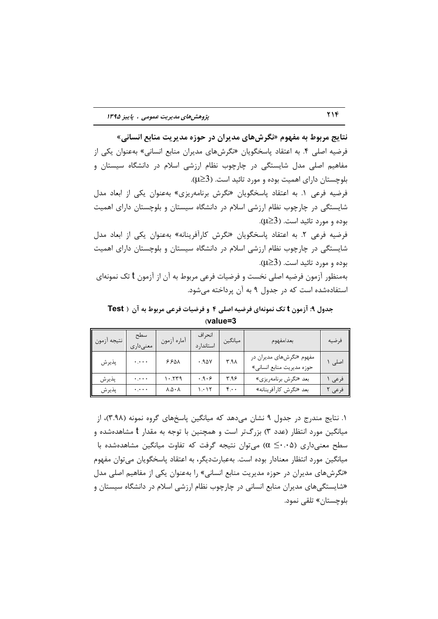نتايج مربوط به مفهوم «نگرش هاي مديران در حوزه مديريت منابع انساني» فرضیه اصلی ۴. به اعتقاد پاسخگویان «نگرشهای مدیران منابع انسانی» بهعنوان یکی از مفاهیم اصلی مدل شایستگی در چارچوب نظام ارزشی اسلام در دانشگاه سیستان و بلوچستان دارای اهمیت بوده و مورد تائید است. (3≤µ).

فرضیه فرعی ۱. به اعتقاد پاسخگویان «نگرش برنامهریزی» بهعنوان یکی از ابعاد مدل شایستگی در چارچوب نظام ارزشی اسلام در دانشگاه سیستان و بلوچستان دارای اهمیت بوده و مورد تائید است. (3 $\leq$ ی).

فرضيه فرعي ٢. به اعتقاد پاسخگويان «نگرش كارآفرينانه» بهعنوان يكي از ابعاد مدل شایستگی در چارچوب نظام ارزشی اسلام در دانشگاه سیستان و بلوچستان دارای اهمیت بوده و مورد تائيد است. (3≤W).

بهمنظور آزمون فرضيه اصلي نخست و فرضيات فرعي مربوط به آن از آزمون t تک نمونهاي استفادهشده است که در جدول ۹ به آن پرداخته میشود.

جدول ۹: آزمون t تک نمونهای فرضیه اصلی ۴ و فرضیات فرعی مربوط به آن ( Test  $\vee$ alue=3

| نتيجه أزمون | سطح<br>معنىدارى | أماره أزمون                    | انحر اف<br>استاندار د | ميانگين | بعد/مفهوم                                             | فرضيه  |
|-------------|-----------------|--------------------------------|-----------------------|---------|-------------------------------------------------------|--------|
| پذيرش       | $\ddots$        | ۶۶۵۸                           | .90Y                  | R.7     | مفهوم «نگرشهای مدیران در<br>حوزه مديريت منابع انساني» | اصلی ۱ |
| پذيرش       | $\ddotsc$       | 1.779                          | .9.9                  | ۳.۹۶    | بعد «نگرش برنامهريزي»                                 | فرعى   |
| پذيرش       | $\ddotsc$       | $\lambda \Delta \cdot \lambda$ | ۱.۰۱۲                 | ۴.۰۰    | بعد «نگرش كارآفرينانه»                                | فرعی ۲ |

۱. نتایج مندرج در جدول ۹ نشان می دهد که میانگین پاسخهای گروه نمونه (۳.۹۸)، از میانگین مورد انتظار (عدد ۳) بزرگتر است و همچنین با توجه به مقدار t مشاهدهشده و سطح معنیداری (۵۰.۰ک) میتوان نتیجه گرفت که تفاوت میانگین مشاهدهشده با میانگین مورد انتظار معنادار بوده است. بهعبارتدیگر، به اعتقاد پاسخگویان می¤وان مفهوم «نگرشهای مدیران در حوزه مدیریت منابع انسانی» را بهعنوان یکی از مفاهیم اصلی مدل «شایستگیهای مدیران منابع انسانی در چارچوب نظام ارزشی اسلام در دانشگاه سیستان و بلوچستان» تلقے نمود.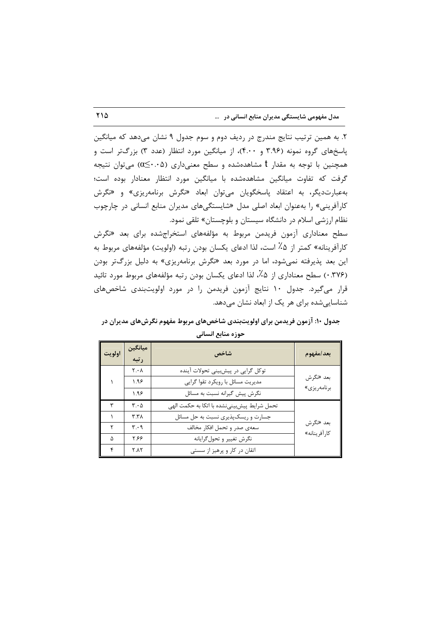۲. به همین ترتیب نتایج مندرج در ردیف دوم و سوم جدول ۹ نشان میدهد که میانگین پاسخهای گروه نمونه (۳.۹۶ و ۴.۰۰)، از میانگین مورد انتظار (عدد ۳) بزرگتر است و همچنین با توجه به مقدار t مشاهدهشده و سطح معنیداری (۵۰.۰ک)) میتوان نتیجه گرفت که تفاوت میانگین مشاهدهشده با میانگین مورد انتظار معنادار بوده است؛ به عبارت دیگر، به اعتقاد پاسخگویان میتوان ابعاد «نگرش برنامهریزی» و «نگرش کارآفرینی» را بهعنوان ابعاد اصلی مدل «شایستگیهای مدیران منابع انسانی در چارچوب نظام ارزشی اسلام در دانشگاه سیستان و بلوچستان» تلقی نمود.

سطح معناداری آزمون فریدمن مربوط به مؤلفههای استخراجشده برای بعد «نگرش كارآفرينانه» كمتر از ۵٪ است، لذا ادعاى يكسان بودن رتبه (اولويت) مؤلفههاى مربوط به این بعد پذیرفته نمیشود، اما در مورد بعد «نگرش برنامهریزی» به دلیل بزرگتر بودن (۳۷۶. ۰) سطح معناداری از ۰٫۵٪ لذا ادعای یکسان بودن رتبه مؤلفههای مربوط مورد تائید قرار میگیرد. جدول ۱۰ نتایج آزمون فریدمن را در مورد اولویتبندی شاخصهای شناسایے شدہ برای هر یک از ابعاد نشان مے دهد.

## جدول ۱۰: آزمون فریدمن برای اولویتبندی شاخصهای مربوط مفهوم نگرشهای مدیران در حوزه منابع انسانى

| اولويت | ميانگين<br>رتبه               | شاخص                                         | بعد/مفهوم    |
|--------|-------------------------------|----------------------------------------------|--------------|
|        | $Y \cdot \Lambda$             | توکل گرایی در پیشبینی تحولات آینده           |              |
|        | ۱.۹۶                          | مدیریت مسائل با رویکرد تقوا گرایی            | بعد «نگرش    |
|        | ۱.۹۶                          | نگرش پیش گیرانه نسبت به مسائل                | برنامەريزى»  |
|        | $\mathbf{r} \cdot \mathbf{r}$ | تحمل شرايط پيشبيني نشده با اتكا به حكمت الهي |              |
|        | ۳.۳۸                          | جسارت و ریسکپذیری نسبت به حل مسائل           |              |
|        | $\mathbf{r} \cdot \mathbf{q}$ | سعهى صدر و تحمل افكار مخالف                  | بعد «نگرش    |
| Δ      | ۶۶۶                           | نگرش تغيير و تحول گرايانه                    | كارآفرينانه» |
| ۴      | <b>Y.AY</b>                   | اتقان در کار و پرهيز از سستي                 |              |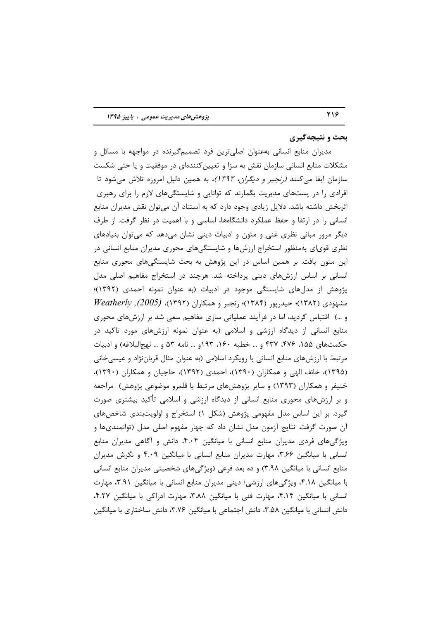#### بحث و نتيجهگيري

مدیران منابع انسانی بهعنوان اصلیترین فرد تصمیمگیرنده در مواجهه با مسائل و مشکلات منابع انسانی سازمان نقش به سزا و تعیین کنندهای در موفقیت و یا حتی شکست سازمان ایفا می *کنند (رنجبر و دیگران، ۱۳۹۲)،* به همین دلیل امروزه تلاش می شود تا افرادی را در پستهای مدیریت بگمارند که توانایی و شایستگیهای لازم را برای رهبری اثربخش داشته باشد. دلایل زیادی وجود دارد که به استناد آن می توان نقش مدیران منابع انسانی را در ارتقا و حفظ عملکرد دانشگاهها، اساسی و با اهمیت در نظر گرفت. از طرف دیگر مرور مبانی نظری غنی و متون و ادبیات دینی نشان میدهد که میتوان بنیادهای نظری قویای بهمنظور استخراج ارزشها و شایستگیهای محوری مدیران منابع انسانی در این متون یافت. بر همین اساس در این پژوهش به بحث شایستگیهای محوری منابع انسانی بر اساس ارزشهای دینی پرداخته شد. هرچند در استخراج مفاهیم اصلی مدل پژوهش از مدلهای شایستگی موجود در ادبیات (به عنوان نمونه احمدی (۱۳۹۲)؛  $Weatherly$ , (1۳۸۲)؛ حیدریور (۱۳۸۴)؛ رنجبر و همکاران (۱۳۹۲)، (2005), Weatherly و …) اقتباس گردید، اما در فرآیند عملیاتی سازی مفاهیم سعی شد بر ارزشهای محوری منابع انسانی از دیدگاه ارزشی و اسلامی (به عنوان نمونه ارزشهای مورد تاکید در حکمتهای ۱۵۵، ۴۷۶، ۴۳۷ و … خطبه ۱۶۰، ۱۹۳ و… نامه ۵۳ و … نهجالبلاغه) و ادبیات مرتبط با ارزشهای منابع انسانی با رویکرد اسلامی (به عنوان مثال قرباننژاد و عیسی خانی (۱۳۹۵)، خائف الهي و همكاران (۱۳۹۰)، احمدي (۱۳۹۲)، حاجيان و همكاران (۱۳۹۰)، خنیفر و همکاران (۱۳۹۳) و سایر پژوهشهای مرتبط با قلمرو موضوعی پژوهش) ً مراجعه و بر ارزشهای محوری منابع انسانی از دیدگاه ارزشی و اسلامی تأکید بیشتری صورت گیرد. بر این اساس مدل مفهومی پژوهش (شکل ۱) استخراج و اولویتبندی شاخصهای آن صورت گرفت. نتایج آزمون مدل نشان داد که چهار مفهوم اصلی مدل (توانمندیها و ویژگیهای فردی مدیران منابع انسانی با میانگین ۴.۰۴، دانش و آگاهی مدیران منابع انسانی با میانگین ۳.۶۶، مهارت مدیران منابع انسانی با میانگین ۴.۰۹ و نگرش مدیران منابع انسانی با میانگین ۳.۹۸) و ده بعد فرعی (ویژگیهای شخصیتی مدیران منابع انسانی با میانگین ۴.۱۸، ویژگیهای ارزشی/ دینی مدیران منابع انسانی با میانگین ۳.۹۱، مهارت انسانی با میانگین ۴.۱۴، مهارت فنی با میانگین ۳.۸۸، مهارت ادراکی با میانگین ۴.۲۷، دانش انسانی با میانگین ۳.۵۸، دانش اجتماعی با میانگین ۳.۷۶، دانش ساختاری با میانگین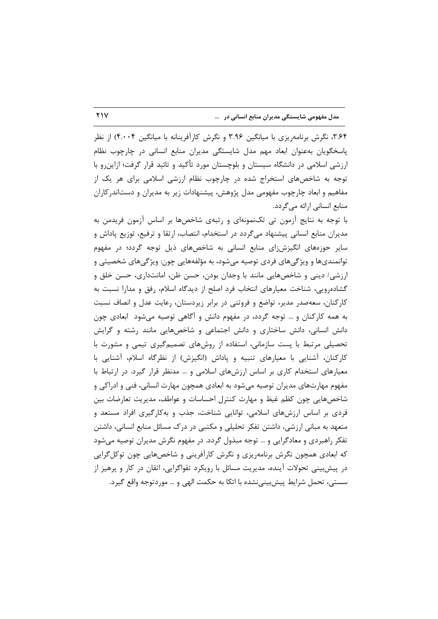۳٬۶۴، نگرش برنامهریزی با میانگین ۳.۹۶ و نگرش کارآفرینانه با میانگین ۴.۰۰۴) از نظر پاسخگویان بهعنوان ابعاد مهم مدل شایستگی مدیران منابع انسانی در چارچوب نظام ارزشی اسلامی در دانشگاه سیستان و بلوچستان مورد تأکید و تائید قرار گرفت؛ ازاین٫و با توجه به شاخصهای استخراج شده در چارچوب نظام ارزشی اسلامی برای هر یک از مفاهیم و ابعاد چارچوب مفهومی مدل پژوهش، پیشنهادات زیر به مدیران و دستاندر کاران منابع انسانی ارائه می گردد.

با توجه به نتایج آزمون تی تکنمونهای و رتبهی شاخصها بر اساس آزمون فریدمن به مدیران منابع انسانی پیشنهاد میگردد در استخدام، انتصاب، ارتقا و ترفیع، توزیع پاداش و سایر حوزههای انگیزشزای منابع انسانی به شاخصهای ذیل توجه گردد؛ در مفهوم توانمندیها و ویژگیهای فردی توصیه میشود، به مؤلفههایی چون: ویژگیهای شخصیتی و ارزشی/ دینی و شاخصهایی مانند با وجدان بودن، حسن ظن، امانتداری، حسن خلق و گشادهرویی، شناخت معیارهای انتخاب فرد اصلح از دیدگاه اسلام، رفق و مدارا نسبت به کارکنان، سعهصدر مدیر، تواضع و فروتنی در برابر زیردستان، رعایت عدل و انصاف نسبت به همه کارکنان و … توجه گردد، در مفهوم دانش و آگاهی توصیه میشود آبعادی چون دانش انسانی، دانش ساختاری و دانش اجتماعی و شاخصهایی مانند رشته و گرایش تحصیلی مرتبط با پست سازمانی، استفاده از روشهای تصمیم گیری تیمی و مشورت با کارکنان، آشنایی با معیارهای تنبیه و پاداش (انگیزش) از نظرگاه اسلام، آشنایی با معیارهای استخدام کاری بر اساس ارزشهای اسلامی و … مدنظر قرار گیرد. در ارتباط با مفهوم مهارتهای مدیران توصیه میشود به ابعادی همچون مهارت انسانی، فنی و ادراکی و شاخصهایی چون کظم غیظ و مهارت کنترل احساسات و عواطف، مدیریت تعارضات بین فردی بر اساس ارزشهای اسلامی، توانایی شناخت، جذب و بهکارگیری افراد مستعد و متعهد به مبانی ارزشی، داشتن تفکر تحلیلی و مکتبی در درک مسائل منابع انسانی، داشتن تفکر راهبردی و معادگرایی و … توجه مبذول گردد. در مفهوم نگرش مدیران توصیه میشود که ابعادی همچون نگرش برنامهریزی و نگرش کارآفرینی و شاخصهایی چون توکل گرایی در پیشبینی تحولات آینده، مدیریت مسائل با رویکرد تقواگرایی، اتقان در کار و پرهیز از سستے، تحمل شرایط پیش بینے نشدہ با اتکا به حکمت الھے و … موردتوجه واقع گیرد.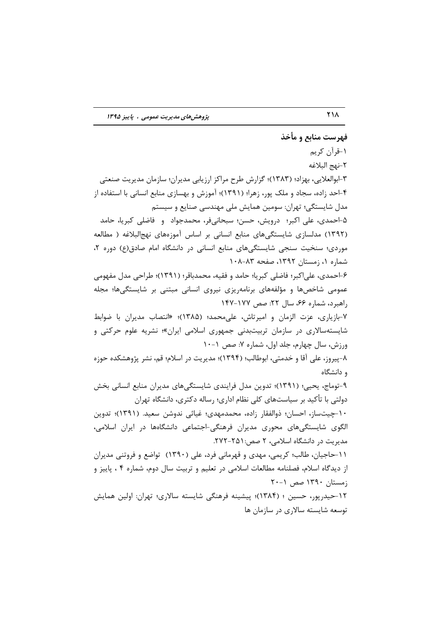## فهرست منابع و مأخذ ۱-قرآن کریم ٢-نهج البلاغه ۳-ابوالعلایی، بهزاد؛ (۱۳۸۳)؛ گزارش طرح مراکز ارزیابی مدیران؛ سازمان مدیریت صنعتی ۴-احد زاده، سجاد و ملک پور، زهرا؛ (۱۳۹۱)؛ آموزش و بهسازی منابع انسانی با استفاده از مدل شایستگی؛ تهران: سومین همایش ملی مهندسی صنایع و سیستم ۵-احمدی، علی اکبر؛ درویش، حسن؛ سبحانیفر، محمدجواد و فاضلی کبریا، حامد (۱۳۹۲) مدلسازی شایستگیهای منابع انسانی بر اساس آموزههای نهجالبلاغه ( مطالعه موردی؛ سنخیت سنجی شایستگیهای منابع انسانی در دانشگاه امام صادق (ع) دوره ٢، شماره ۱، زمستان ۱۳۹۲، صفحه ۸۳-۰۸۸ ۶-احمدي، علي|كبر؛ فاضلي كبريا؛ حامد و فقيه، محمدباقر؛ (١٣٩١)؛ طراحي مدل مفهومي عمومی شاخصها و مؤلفههای برنامهریزی نیروی انسانی مبتنی بر شایستگیها؛ مجله , اهیرد، شماره ۶۶، سال ۲۲: صص ۱۷۷–۱۴۷ ٧-بازياري، عزت الزمان و اميرتاش، على محمد؛ (١٣٨۵)؛ «انتصاب مديران با ضوابط شایستهسالاری در سازمان تربیتبدنی جمهوری اسلامی ایران»؛ نشریه علوم حرکتی و ورزش، سال چهارم، جلد اول، شماره ۷: صص ۱۰-۱۰ ٨-پيروز، على آقا و خدمتي، ابوطالب؛ (١٣٩۴)؛ مديريت در اسلام؛ قم، نشر يژوهشكده حوزه و دانشگاه ۹-توماج، یحیی؛ (۱۳۹۱)؛ تدوین مدل فرایندی شایستگیهای مدیران منابع انسانی بخش دولتی با تأکید بر سیاستهای کلی نظام اداری؛ رساله دکتری، دانشگاه تهران ۱۰-چیتساز، احسان؛ ذوالفقار زاده، محمدمهدی؛ غیاثی ندوشن سعید. (۱۳۹۱)؛ تدوین الگوی شایستگیهای محوری مدیران فرهنگی-اجتماعی دانشگاهها در ایران اسلامی، مدیریت در دانشگاه اسلامی، ۲ صص:۶۵۱-۲۷۲. ١١-حاجيان، طالب؛ كريمي، مهدي و قهرماني فرد، على (١٣٩٠) تواضع و فروتني مديران از دیدگاه اسلام، فصلنامه مطالعات اسلامی در تعلیم و تربیت سال دوم، شماره ۴ ، پاییز و زمستان ۱۳۹۰ صص ۰-۲۰

۱۲–حیدریور، حسین ؛ (۱۳۸۴)؛ پیشینه فرهنگی شایسته سالاری؛ تهران: اولین همایش توسعه شایسته سالاری در سازمان ها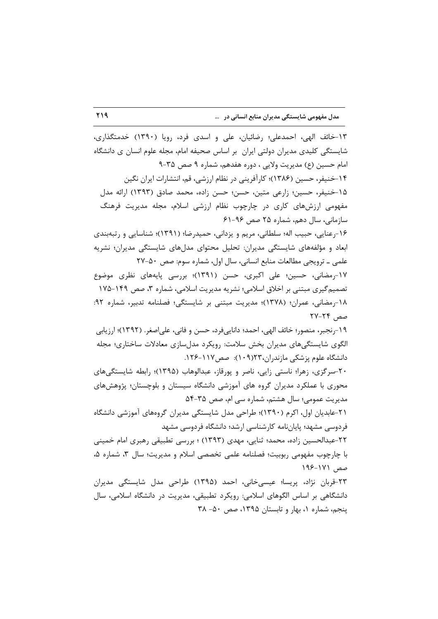١٣-خائف الهي، احمدعلي؛ رضائيان، على و اسدى فرد، رويا (١٣٩٠) خدمتگذارى، شایستگی کلیدی مدیران دولتی ایران بر اساس صحیفه امام، مجله علوم انسان ی دانشگاه امام حسین (ع) مدیریت ولایی ، دوره هفدهم، شماره ۹ صص ۳۵-۹ ۱۴-خنیفر، حسین (۱۳۸۶)؛ کارآفرینی در نظام ارزشی، قم، انتشارات ایران نگین ١۵-خنيفر، حسين؛ زارعي متين، حسن؛ حسن زاده، محمد صادق (١٣٩٣) ارائه مدل مفهومی ارزشهای کاری در چارچوب نظام ارزشی اسلام، مجله مدیریت فرهنگ سازمانی، سال دهم، شماره ۲۵ صص ۹۶-۶۱ ۱۶-رعنایی، حبیب اله؛ سلطانی، مریم و یزدانی، حمیدرضا؛ (۱۳۹۱)؛ شناسایی و رتبهبندی ابعاد و مؤلفههای شایستگی مدیران: تحلیل محتوای مدلهای شایستگی مدیران؛ نشریه علمي ـ ترويجي مطالعات منابع انساني، سال اول، شماره سوم: صص ٥٠-٢٧ ١٧-رمضاني، حسين؛ على اكبرى، حسن (١٣٩١)؛ بررسي پايههاى نظرى موضوع تصمیم گیری مبتنی بر اخلاق اسلامی؛ نشریه مدیریت اسلامی، شماره ۳، صص ۱۴۹-۱۷۵ ١٨-رمضاني، عمران؛ (١٣٧٨)؛ مديريت مبتني بر شايستگي؛ فصلنامه تدبير، شماره ٩٢: صص ۲۴-۲۷ ١٩-رنجبر، منصور؛ خائف الهي، احمد؛ داناييفرد، حسن و فاني، علىاصغر. (١٣٩٢)؛ ارزيابي الگوی شایستگی های مدیران بخش سلامت: رویکرد مدل سازی معادلات ساختاری؛ مجله دانشگاه علوم پزشکی مازندران،۱۲۳(۱۰۹): صص۱۱۷-۱۲۶. ۲۰-سرگزی، زهرا؛ ناستی زایی، ناصر و پورقاز، عبدالوهاب (۱۳۹۵)؛ رابطه شایستگیهای محوری با عملکرد مدیران گروه های آموزشی دانشگاه سیستان و بلوچستان؛ پژوهشهای مدیریت عمومی؛ سال هشتم، شماره سی ام، صص ۳۵-۵۴ ۲۱-عابدیان اول، اکرم (۱۳۹۰)؛ طراحی مدل شایستگی مدیران گروههای آموزشی دانشگاه فردوسی مشهد؛ پایانِنامه کارشناسی ارشد؛ دانشگاه فردوسی مشهد ٢٢-عبدالحسين زاده، محمد؛ ثنايي، مهدي (١٣٩٣) ؛ بررسي تطبيقي رهبري امام خميني با چارچوب مفهومی ربوبیت؛ فصلنامه علمی تخصصی اسلام و مدیریت؛ سال ۳، شماره ۵، صص ١٧١-١٩۶ ۲۳-قربان نژاد، پریسا؛ عیسی خانی، احمد (۱۳۹۵) طراحی مدل شایستگی مدیران دانشگاهی بر اساس الگوهای اسلامی: رویکرد تطبیقی، مدیریت در دانشگاه اسلامی، سال پنجم، شماره ۱، بهار و تابستان ۱۳۹۵، صص ۵۰- ۳۸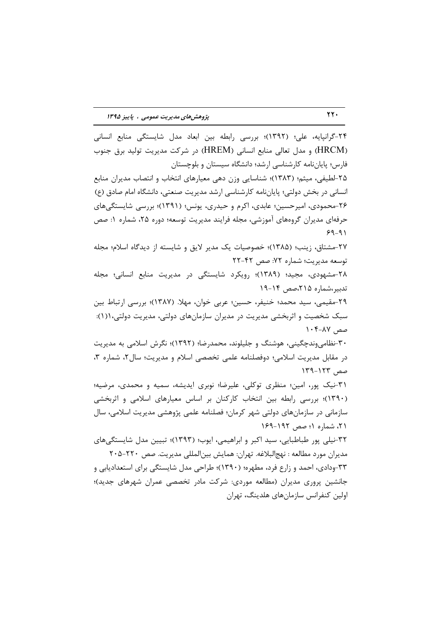٢۴-گرانپايه، علي؛ (١٣٩٢)؛ بررسي رابطه بين ابعاد مدل شايستگي منابع انساني (HRCM) و مدل تعالی منابع انسانی (HREM) در شرکت مدیریت تولید برق جنوب فارس؛ پایاننامه کارشناسی ارشد؛ دانشگاه سیستان و بلوچستان ۲۵-لطیفی، میثم؛ (۱۳۸۳)؛ شناسایی وزن دهی معیارهای انتخاب و انتصاب مدیران منابع انسانی در بخش دولتی؛ پایاننامه کارشناسی ارشد مدیریت صنعتی، دانشگاه امام صادق (ع)

۲۶-محمودی، امیرحسین؛ عابدی، اکرم و حیدری، یونس؛ (۱۳۹۱)؛ بررسی شایستگی،ای حرفهای مدیران گروههای آموزشی، مجله فرایند مدیریت توسعه؛ دوره ۲۵، شماره ۱: صص  $9 - 91$ 

٢٧-مشتاق، زينب؛ (١٣٨۵)؛ خصوصيات يک مدير لايق و شايسته از ديدگاه اسلام؛ مجله توسعه مديريت؛ شماره ٧٢: صص ٤٢-٢٢

٢٨-مشهودي، مجيد؛ (١٣٨٩)؛ رويكرد شايستگي در مديريت منابع انساني؛ مجله تدبیر،شماره ۲۱۵،صص ۱۴-۱۹

٢٩-مقيمي، سيد محمد؛ خنيفر، حسين؛ عربي خوان، مهلا. (١٣٨٧)؛ بررسي ارتباط بين سبک شخصیت و اثربخشی مدیریت در مدیران سازمانهای دولتی، مدیریت دولتی،۱(۱): صص ٨٧-٠۴ ١

۳۰-نظامی وندچگینی، هوشنگ و جلیلوند، محمدرضا؛ (۱۳۹۲)؛ نگرش اسلامی به مدیریت در مقابل مديريت اسلامي؛ دوفصلنامه علمي تخصصي اسلام و مديريت؛ سال ٢، شماره ٣، صص ١٢٣-١٢٩

٣١-نيک پور، امين؛ منظري توکلي، عليرضا؛ نوبري ايديشه، سميه و محمدي، مرضيه؛ (۱۳۹۰)؛ بررسی رابطه بین انتخاب کارکنان بر اساس معیارهای اسلامی و اثربخشی سازمانی در سازمانهای دولتی شهر کرمان؛ فصلنامه علمی پژوهشی مدیریت اسلامی، سال ۲۱، شماره ۱؛ صص ۱۶۹-۱۶۹

۳۲-نیلی پور طباطبایی، سید اکبر و ابراهیمی، ایوب؛ (۱۳۹۳)؛ تبیین مدل شایستگی های مديران مورد مطالعه : نهجالبلاغه. تهران: همايش بين|لمللي مديريت. صص ٢٢٠-٢٠۵ ۳۳-ودادی، احمد و زارع فرد، مطهره؛ (۱۳۹۰)؛ طراحی مدل شایستگی برای استعدادیابی و جانشین پروری مدیران (مطالعه موردی: شرکت مادر تخصصی عمران شهرهای جدید)؛ اولین کنفرانس سازمانهای هلدینگ، تهران